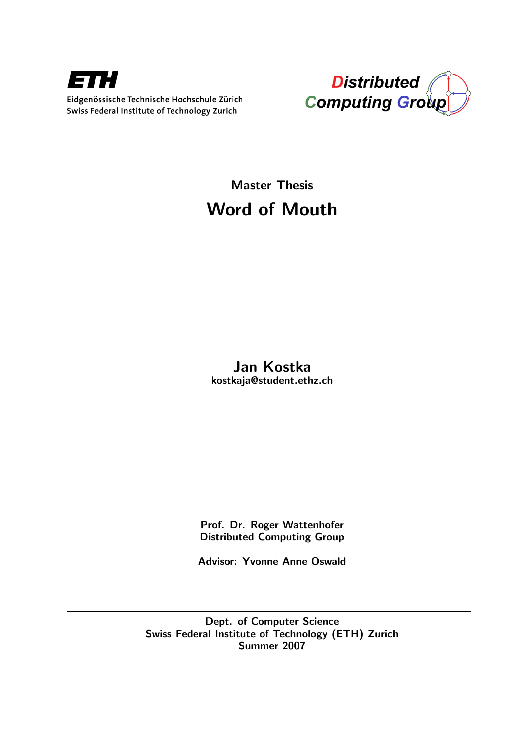



# Master Thesis Word of Mouth

# Jan Kostka kostkaja@student.ethz.ch

Prof. Dr. Roger Wattenhofer Distributed Computing Group

Advisor: Yvonne Anne Oswald

Dept. of Computer Science Swiss Federal Institute of Technology (ETH) Zurich Summer 2007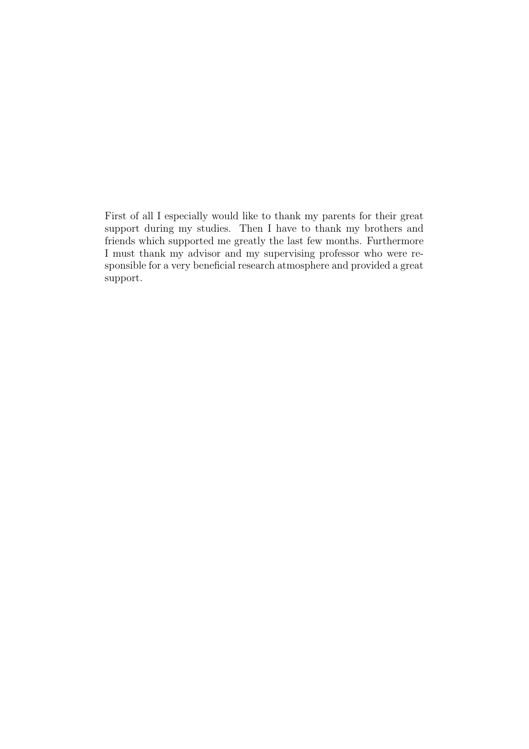First of all I especially would like to thank my parents for their great support during my studies. Then I have to thank my brothers and friends which supported me greatly the last few months. Furthermore I must thank my advisor and my supervising professor who were responsible for a very beneficial research atmosphere and provided a great support.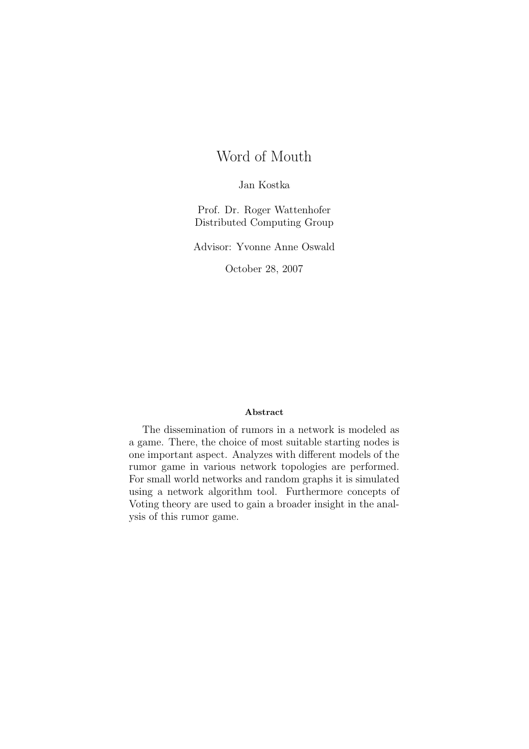# Word of Mouth

Jan Kostka

Prof. Dr. Roger Wattenhofer Distributed Computing Group

Advisor: Yvonne Anne Oswald

October 28, 2007

#### Abstract

The dissemination of rumors in a network is modeled as a game. There, the choice of most suitable starting nodes is one important aspect. Analyzes with different models of the rumor game in various network topologies are performed. For small world networks and random graphs it is simulated using a network algorithm tool. Furthermore concepts of Voting theory are used to gain a broader insight in the analysis of this rumor game.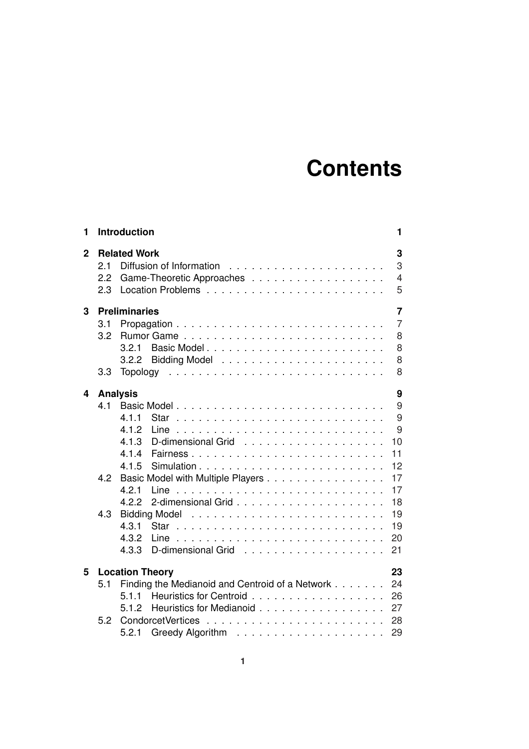# **Contents**

| 1            | Introduction                                                                                                                                                                                                                                                                                                                  | 1                                                    |
|--------------|-------------------------------------------------------------------------------------------------------------------------------------------------------------------------------------------------------------------------------------------------------------------------------------------------------------------------------|------------------------------------------------------|
| $\mathbf{2}$ | <b>Related Work</b><br>2.1<br>Diffusion of Information<br>2.2<br>Game-Theoretic Approaches<br>2.3                                                                                                                                                                                                                             | 3<br>3<br>$\overline{4}$<br>5                        |
| 3            | <b>Preliminaries</b><br>3.1<br>3.2<br>3.2.1<br>3.2.2<br>3.3<br><b>Topology</b>                                                                                                                                                                                                                                                | 7<br>$\overline{7}$<br>8<br>8<br>8<br>8              |
| 4            | <b>Analysis</b><br>4.1<br>4.1.1<br>Star<br>4.1.2<br>Line<br>4.1.3<br>D-dimensional Grid<br>.<br>4.1.4<br>11<br>Fairness<br>4.1.5<br>4.2<br>Basic Model with Multiple Players<br>4.2.1<br>Line<br>4.2.2<br><b>Bidding Model</b><br>4.3<br>4.3.1<br>19<br>Star<br>4.3.2<br>20<br>Line<br>D-dimensional Grid<br>21<br>4.3.3<br>. | 9<br>9<br>9<br>9<br>10<br>12<br>17<br>17<br>18<br>19 |
| 5            | <b>Location Theory</b><br>23<br>Finding the Medianoid and Centroid of a Network<br>24<br>5.1<br>5.1.1<br>26<br>Heuristics for Medianoid<br>27<br>512<br>5.2<br>28<br>29<br>5.2.1                                                                                                                                              |                                                      |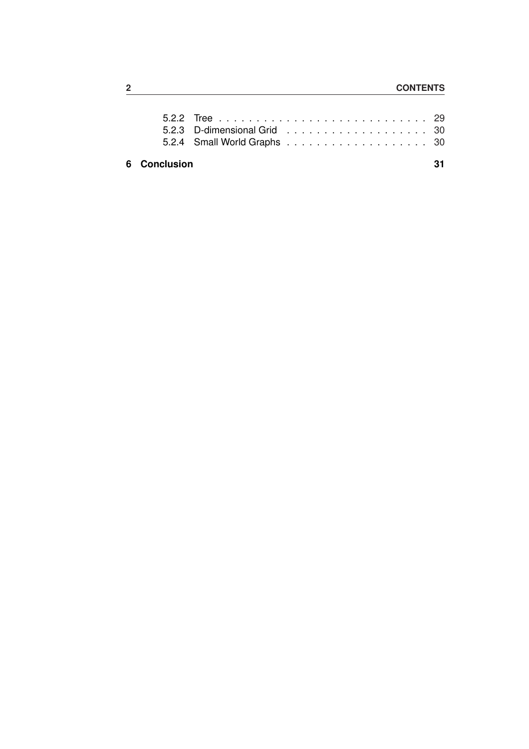### **6 Conclusion 31**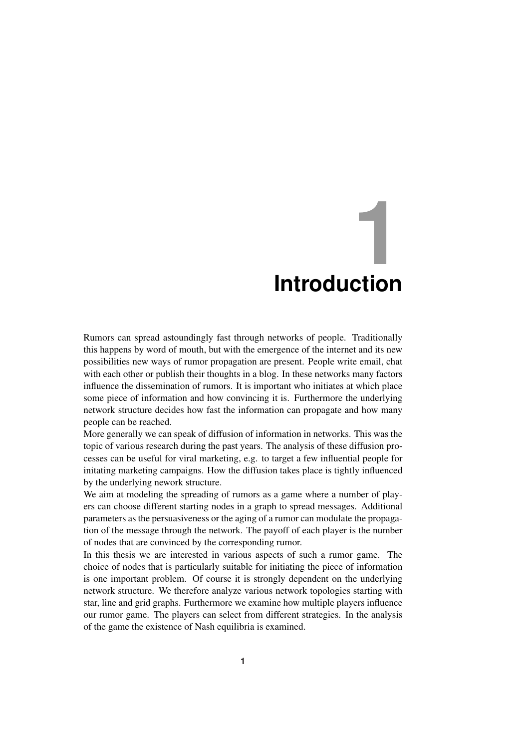# **1 Introduction**

Rumors can spread astoundingly fast through networks of people. Traditionally this happens by word of mouth, but with the emergence of the internet and its new possibilities new ways of rumor propagation are present. People write email, chat with each other or publish their thoughts in a blog. In these networks many factors influence the dissemination of rumors. It is important who initiates at which place some piece of information and how convincing it is. Furthermore the underlying network structure decides how fast the information can propagate and how many people can be reached.

More generally we can speak of diffusion of information in networks. This was the topic of various research during the past years. The analysis of these diffusion processes can be useful for viral marketing, e.g. to target a few influential people for initating marketing campaigns. How the diffusion takes place is tightly influenced by the underlying nework structure.

We aim at modeling the spreading of rumors as a game where a number of players can choose different starting nodes in a graph to spread messages. Additional parameters as the persuasiveness or the aging of a rumor can modulate the propagation of the message through the network. The payoff of each player is the number of nodes that are convinced by the corresponding rumor.

In this thesis we are interested in various aspects of such a rumor game. The choice of nodes that is particularly suitable for initiating the piece of information is one important problem. Of course it is strongly dependent on the underlying network structure. We therefore analyze various network topologies starting with star, line and grid graphs. Furthermore we examine how multiple players influence our rumor game. The players can select from different strategies. In the analysis of the game the existence of Nash equilibria is examined.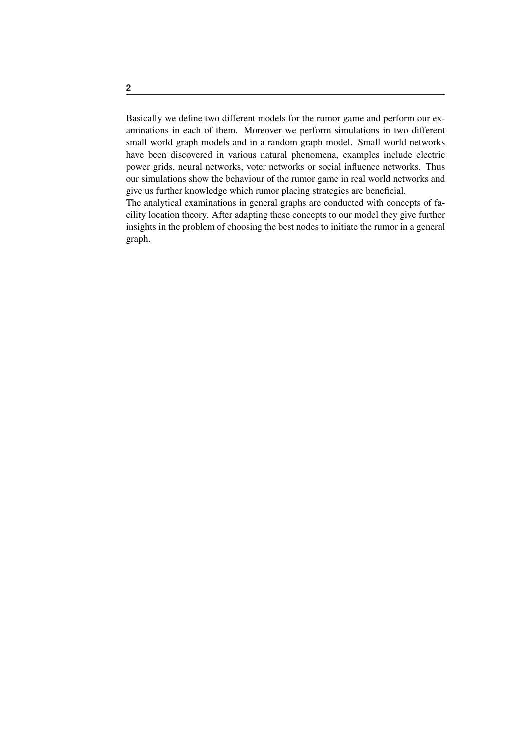Basically we define two different models for the rumor game and perform our examinations in each of them. Moreover we perform simulations in two different small world graph models and in a random graph model. Small world networks have been discovered in various natural phenomena, examples include electric power grids, neural networks, voter networks or social influence networks. Thus our simulations show the behaviour of the rumor game in real world networks and give us further knowledge which rumor placing strategies are beneficial.

The analytical examinations in general graphs are conducted with concepts of facility location theory. After adapting these concepts to our model they give further insights in the problem of choosing the best nodes to initiate the rumor in a general graph.

**2**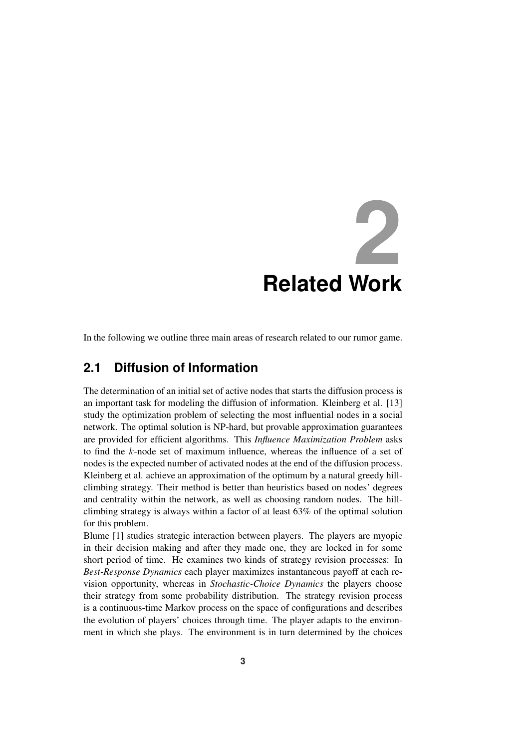

In the following we outline three main areas of research related to our rumor game.

# **2.1 Diffusion of Information**

The determination of an initial set of active nodes that starts the diffusion process is an important task for modeling the diffusion of information. Kleinberg et al. [13] study the optimization problem of selecting the most influential nodes in a social network. The optimal solution is NP-hard, but provable approximation guarantees are provided for efficient algorithms. This *Influence Maximization Problem* asks to find the k-node set of maximum influence, whereas the influence of a set of nodes is the expected number of activated nodes at the end of the diffusion process. Kleinberg et al. achieve an approximation of the optimum by a natural greedy hillclimbing strategy. Their method is better than heuristics based on nodes' degrees and centrality within the network, as well as choosing random nodes. The hillclimbing strategy is always within a factor of at least 63% of the optimal solution for this problem.

Blume [1] studies strategic interaction between players. The players are myopic in their decision making and after they made one, they are locked in for some short period of time. He examines two kinds of strategy revision processes: In *Best-Response Dynamics* each player maximizes instantaneous payoff at each revision opportunity, whereas in *Stochastic-Choice Dynamics* the players choose their strategy from some probability distribution. The strategy revision process is a continuous-time Markov process on the space of configurations and describes the evolution of players' choices through time. The player adapts to the environment in which she plays. The environment is in turn determined by the choices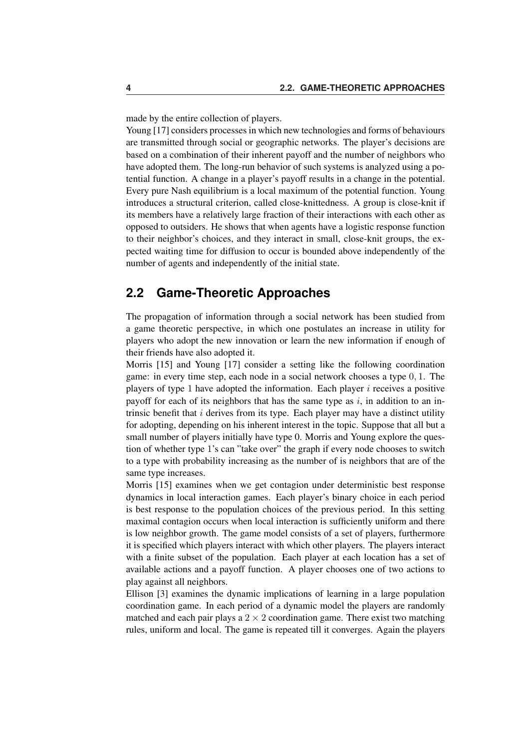made by the entire collection of players.

Young [17] considers processes in which new technologies and forms of behaviours are transmitted through social or geographic networks. The player's decisions are based on a combination of their inherent payoff and the number of neighbors who have adopted them. The long-run behavior of such systems is analyzed using a potential function. A change in a player's payoff results in a change in the potential. Every pure Nash equilibrium is a local maximum of the potential function. Young introduces a structural criterion, called close-knittedness. A group is close-knit if its members have a relatively large fraction of their interactions with each other as opposed to outsiders. He shows that when agents have a logistic response function to their neighbor's choices, and they interact in small, close-knit groups, the expected waiting time for diffusion to occur is bounded above independently of the number of agents and independently of the initial state.

# **2.2 Game-Theoretic Approaches**

The propagation of information through a social network has been studied from a game theoretic perspective, in which one postulates an increase in utility for players who adopt the new innovation or learn the new information if enough of their friends have also adopted it.

Morris [15] and Young [17] consider a setting like the following coordination game: in every time step, each node in a social network chooses a type 0, 1. The players of type 1 have adopted the information. Each player  $i$  receives a positive payoff for each of its neighbors that has the same type as  $i$ , in addition to an intrinsic benefit that  $i$  derives from its type. Each player may have a distinct utility for adopting, depending on his inherent interest in the topic. Suppose that all but a small number of players initially have type 0. Morris and Young explore the question of whether type 1's can "take over" the graph if every node chooses to switch to a type with probability increasing as the number of is neighbors that are of the same type increases.

Morris [15] examines when we get contagion under deterministic best response dynamics in local interaction games. Each player's binary choice in each period is best response to the population choices of the previous period. In this setting maximal contagion occurs when local interaction is sufficiently uniform and there is low neighbor growth. The game model consists of a set of players, furthermore it is specified which players interact with which other players. The players interact with a finite subset of the population. Each player at each location has a set of available actions and a payoff function. A player chooses one of two actions to play against all neighbors.

Ellison [3] examines the dynamic implications of learning in a large population coordination game. In each period of a dynamic model the players are randomly matched and each pair plays a  $2 \times 2$  coordination game. There exist two matching rules, uniform and local. The game is repeated till it converges. Again the players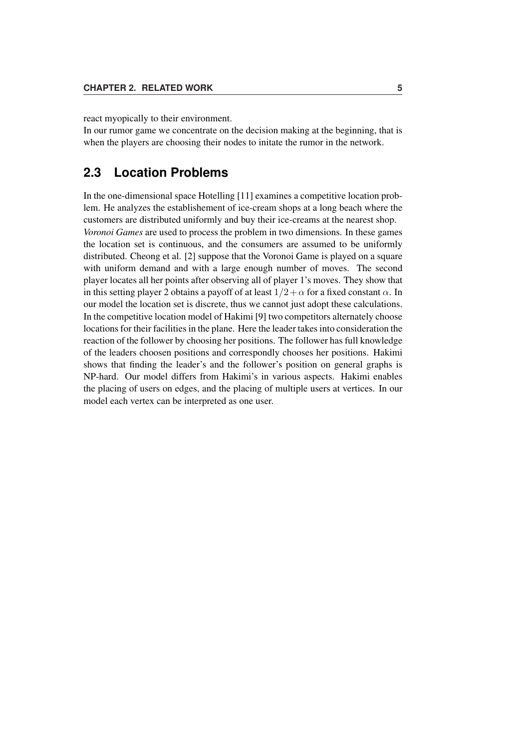react myopically to their environment.

In our rumor game we concentrate on the decision making at the beginning, that is when the players are choosing their nodes to initate the rumor in the network.

# **2.3 Location Problems**

In the one-dimensional space Hotelling [11] examines a competitive location problem. He analyzes the establishement of ice-cream shops at a long beach where the customers are distributed uniformly and buy their ice-creams at the nearest shop. *Voronoi Games* are used to process the problem in two dimensions. In these games the location set is continuous, and the consumers are assumed to be uniformly distributed. Cheong et al. [2] suppose that the Voronoi Game is played on a square with uniform demand and with a large enough number of moves. The second player locates all her points after observing all of player 1's moves. They show that in this setting player 2 obtains a payoff of at least  $1/2 + \alpha$  for a fixed constant  $\alpha$ . In our model the location set is discrete, thus we cannot just adopt these calculations. In the competitive location model of Hakimi [9] two competitors alternately choose locations for their facilities in the plane. Here the leader takes into consideration the reaction of the follower by choosing her positions. The follower has full knowledge of the leaders choosen positions and correspondly chooses her positions. Hakimi shows that finding the leader's and the follower's position on general graphs is NP-hard. Our model differs from Hakimi's in various aspects. Hakimi enables the placing of users on edges, and the placing of multiple users at vertices. In our model each vertex can be interpreted as one user.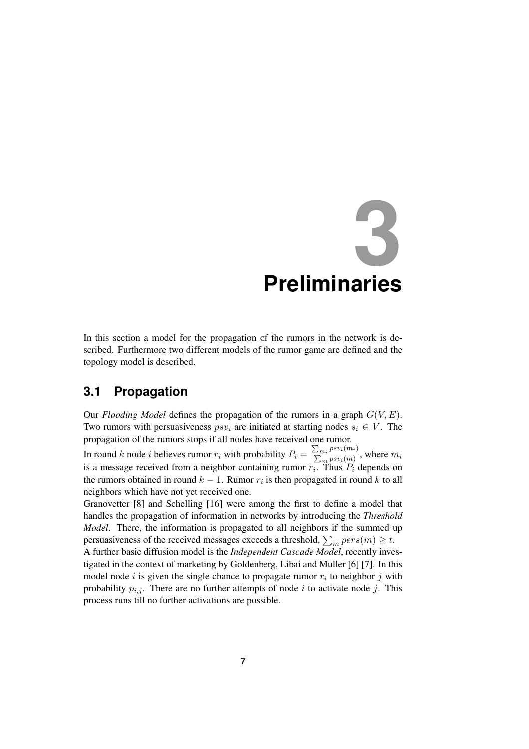# **3 Preliminaries**

In this section a model for the propagation of the rumors in the network is described. Furthermore two different models of the rumor game are defined and the topology model is described.

# **3.1 Propagation**

Our *Flooding Model* defines the propagation of the rumors in a graph  $G(V, E)$ . Two rumors with persuasiveness  $psv_i$  are initiated at starting nodes  $s_i \in V$ . The propagation of the rumors stops if all nodes have received one rumor.  $\frac{1}{2}$ 

In round k node i believes rumor  $r_i$  with probability  $P_i =$  $\frac{\sum_{m_i} psv_i(m_i)}{\sum_m psv_i(m)}$ , where  $m_i$ is a message received from a neighbor containing rumor  $r_i$ . Thus  $P_i$  depends on the rumors obtained in round  $k-1$ . Rumor  $r_i$  is then propagated in round k to all neighbors which have not yet received one.

Granovetter [8] and Schelling [16] were among the first to define a model that handles the propagation of information in networks by introducing the *Threshold Model*. There, the information is propagated to all neighbors if the summed up model. There, the information is propagated to an heighbors if the summed the persuasiveness of the received messages exceeds a threshold,  $\sum_m pers(m) \geq t$ .

A further basic diffusion model is the *Independent Cascade Model*, recently investigated in the context of marketing by Goldenberg, Libai and Muller [6] [7]. In this model node *i* is given the single chance to propagate rumor  $r_i$  to neighbor *j* with probability  $p_{i,j}$ . There are no further attempts of node i to activate node j. This process runs till no further activations are possible.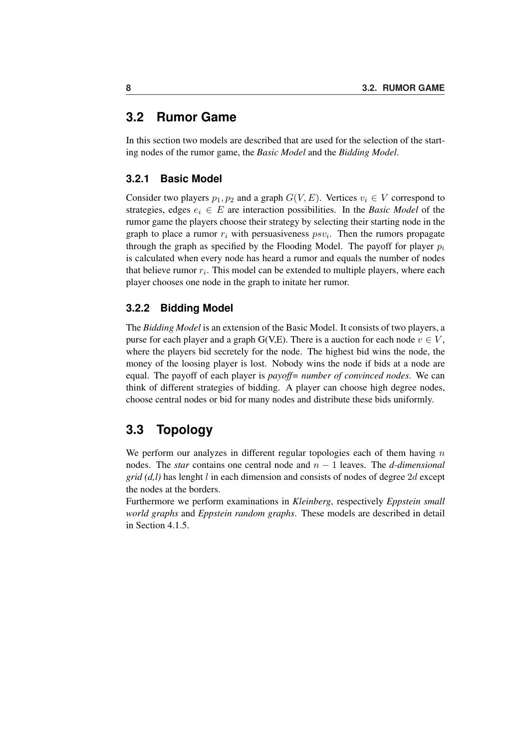# **3.2 Rumor Game**

In this section two models are described that are used for the selection of the starting nodes of the rumor game, the *Basic Model* and the *Bidding Model*.

#### **3.2.1 Basic Model**

Consider two players  $p_1, p_2$  and a graph  $G(V, E)$ . Vertices  $v_i \in V$  correspond to strategies, edges  $e_i \in E$  are interaction possibilities. In the *Basic Model* of the rumor game the players choose their strategy by selecting their starting node in the graph to place a rumor  $r_i$  with persuasiveness  $psv_i$ . Then the rumors propagate through the graph as specified by the Flooding Model. The payoff for player  $p_i$ is calculated when every node has heard a rumor and equals the number of nodes that believe rumor  $r_i$ . This model can be extended to multiple players, where each player chooses one node in the graph to initate her rumor.

#### **3.2.2 Bidding Model**

The *Bidding Model* is an extension of the Basic Model. It consists of two players, a purse for each player and a graph G(V,E). There is a auction for each node  $v \in V$ , where the players bid secretely for the node. The highest bid wins the node, the money of the loosing player is lost. Nobody wins the node if bids at a node are equal. The payoff of each player is *payoff= number of convinced nodes*. We can think of different strategies of bidding. A player can choose high degree nodes, choose central nodes or bid for many nodes and distribute these bids uniformly.

# **3.3 Topology**

We perform our analyzes in different regular topologies each of them having  $n$ nodes. The *star* contains one central node and n − 1 leaves. The *d-dimensional grid (d,l)* has lenght l in each dimension and consists of nodes of degree 2d except the nodes at the borders.

Furthermore we perform examinations in *Kleinberg*, respectively *Eppstein small world graphs* and *Eppstein random graphs*. These models are described in detail in Section 4.1.5.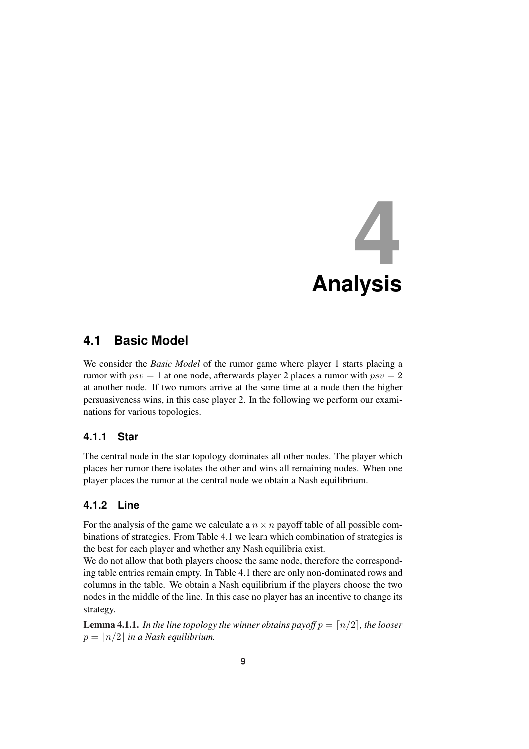

# **4.1 Basic Model**

We consider the *Basic Model* of the rumor game where player 1 starts placing a rumor with  $psv = 1$  at one node, afterwards player 2 places a rumor with  $psv = 2$ at another node. If two rumors arrive at the same time at a node then the higher persuasiveness wins, in this case player 2. In the following we perform our examinations for various topologies.

#### **4.1.1 Star**

The central node in the star topology dominates all other nodes. The player which places her rumor there isolates the other and wins all remaining nodes. When one player places the rumor at the central node we obtain a Nash equilibrium.

#### **4.1.2 Line**

For the analysis of the game we calculate a  $n \times n$  payoff table of all possible combinations of strategies. From Table 4.1 we learn which combination of strategies is the best for each player and whether any Nash equilibria exist.

We do not allow that both players choose the same node, therefore the corresponding table entries remain empty. In Table 4.1 there are only non-dominated rows and columns in the table. We obtain a Nash equilibrium if the players choose the two nodes in the middle of the line. In this case no player has an incentive to change its strategy.

**Lemma 4.1.1.** *In the line topology the winner obtains payoff*  $p = \lfloor n/2 \rfloor$ *, the looser*  $p = |n/2|$  *in a Nash equilibrium.*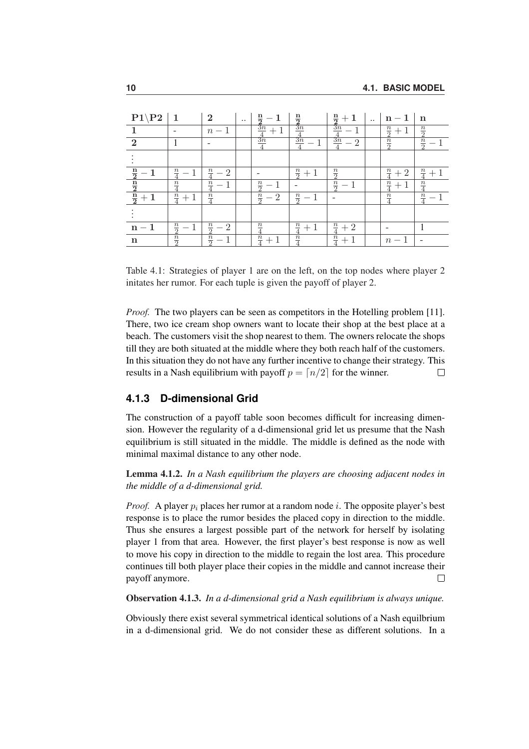| $P1\$ P2                                               | -1                            | $\mathbf{2}$                    | $\ddotsc$ | $\frac{n}{2}$                               | $\frac{n}{2}$                                       | $\frac{\frac{n}{2}}{3n}$                   | $\ddotsc$ | $n-1$                   | $\mathbf n$                   |
|--------------------------------------------------------|-------------------------------|---------------------------------|-----------|---------------------------------------------|-----------------------------------------------------|--------------------------------------------|-----------|-------------------------|-------------------------------|
|                                                        |                               | $n-1$                           |           | $\frac{\frac{3n}{4}}{\frac{3n}{4}}$<br>$+1$ | $\overline{3n}$                                     |                                            |           | $\frac{n}{2}$<br>$+1$   | $\frac{n}{2}$                 |
| $\overline{2}$                                         |                               |                                 |           |                                             | $\frac{\frac{4}{3n}}{\frac{3n}{4}}$<br>$\mathbf{1}$ | $\frac{4}{\frac{3n}{4}}$<br>$\overline{2}$ |           | $\frac{n}{2}$           | $\frac{n}{2}$<br>$\mathbf{1}$ |
|                                                        |                               |                                 |           |                                             |                                                     |                                            |           |                         |                               |
|                                                        | $\frac{n}{4}$                 | $\frac{n}{4}$<br>$\overline{2}$ |           |                                             | $\frac{n}{2}+1$                                     | $\frac{n}{2}$                              |           | $\frac{n}{4}$<br>2      | $\frac{n}{4}$                 |
|                                                        | $\frac{n}{4}$                 | $\frac{n}{4}$                   |           | $\frac{n}{2}$                               |                                                     | $\frac{n}{2}$<br>1                         |           | $\frac{n}{4}$<br>$^{+}$ | $\frac{n}{4}$                 |
| $\frac{\frac{n}{2}-1}{\frac{n}{2}}$<br>$\frac{n}{2}+1$ | $\frac{n}{4}$<br>$\mathbf{1}$ | $\frac{n}{4}$                   |           | $\frac{n}{2}$<br>$\overline{2}$             | $\frac{n}{2}-1$                                     |                                            |           | $\frac{n}{4}$           | $\frac{n}{4}$                 |
|                                                        |                               |                                 |           |                                             |                                                     |                                            |           |                         |                               |
| $n-1$                                                  | $\frac{n}{2}$                 | $\frac{n}{2}$<br>$\overline{2}$ |           | $\frac{n}{4}$                               | $\frac{n}{4}$                                       | $\frac{n}{4}$<br>$+2$                      |           |                         |                               |
| $\mathbf n$                                            | $\frac{n}{2}$                 | $\frac{n}{2}$                   |           | $\frac{n}{4}$<br>$+1$                       | $\frac{n}{4}$                                       | $\frac{n}{4}$<br>$+$                       |           | $n-1$                   |                               |

Table 4.1: Strategies of player 1 are on the left, on the top nodes where player 2 initates her rumor. For each tuple is given the payoff of player 2.

*Proof.* The two players can be seen as competitors in the Hotelling problem [11]. There, two ice cream shop owners want to locate their shop at the best place at a beach. The customers visit the shop nearest to them. The owners relocate the shops till they are both situated at the middle where they both reach half of the customers. In this situation they do not have any further incentive to change their strategy. This results in a Nash equilibrium with payoff  $p = \lfloor n/2 \rfloor$  for the winner.  $\Box$ 

#### **4.1.3 D-dimensional Grid**

The construction of a payoff table soon becomes difficult for increasing dimension. However the regularity of a d-dimensional grid let us presume that the Nash equilibrium is still situated in the middle. The middle is defined as the node with minimal maximal distance to any other node.

Lemma 4.1.2. *In a Nash equilibrium the players are choosing adjacent nodes in the middle of a d-dimensional grid.*

*Proof.* A player  $p_i$  places her rumor at a random node i. The opposite player's best response is to place the rumor besides the placed copy in direction to the middle. Thus she ensures a largest possible part of the network for herself by isolating player 1 from that area. However, the first player's best response is now as well to move his copy in direction to the middle to regain the lost area. This procedure continues till both player place their copies in the middle and cannot increase their  $\Box$ payoff anymore.

Observation 4.1.3. *In a d-dimensional grid a Nash equilibrium is always unique.*

Obviously there exist several symmetrical identical solutions of a Nash equilbrium in a d-dimensional grid. We do not consider these as different solutions. In a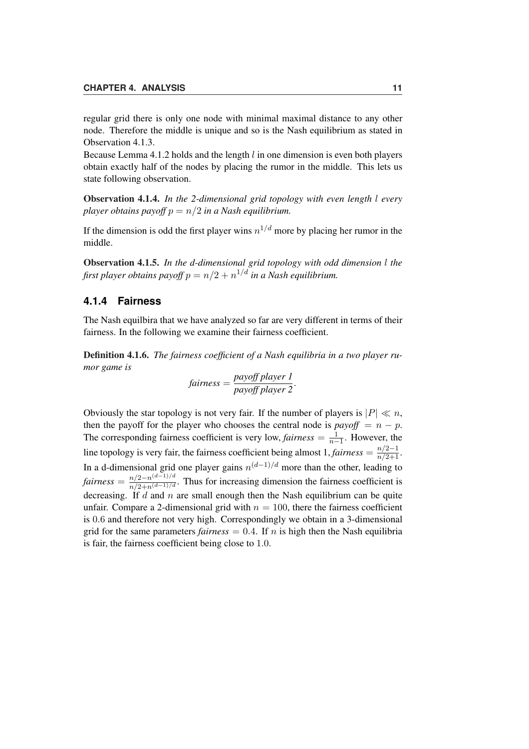regular grid there is only one node with minimal maximal distance to any other node. Therefore the middle is unique and so is the Nash equilibrium as stated in Observation 4.1.3.

Because Lemma 4.1.2 holds and the length  $l$  in one dimension is even both players obtain exactly half of the nodes by placing the rumor in the middle. This lets us state following observation.

Observation 4.1.4. *In the 2-dimensional grid topology with even length* l *every player obtains payoff*  $p = n/2$  *in a Nash equilibrium.* 

If the dimension is odd the first player wins  $n^{1/d}$  more by placing her rumor in the middle.

Observation 4.1.5. *In the d-dimensional grid topology with odd dimension* l *the* first player obtains payoff  $p = n/2 + n^{1/d}$  in a Nash equilibrium.

#### **4.1.4 Fairness**

The Nash equilbira that we have analyzed so far are very different in terms of their fairness. In the following we examine their fairness coefficient.

Definition 4.1.6. *The fairness coefficient of a Nash equilibria in a two player rumor game is*

fairness = 
$$
\frac{payoff player 1}{payoff player 2}.
$$

Obviously the star topology is not very fair. If the number of players is  $|P| \ll n$ , then the payoff for the player who chooses the central node is  $payoff = n - p$ . The corresponding fairness coefficient is very low, *fairness*  $=$   $\frac{1}{n}$  $\frac{1}{n-1}$ . However, the line topology is very fair, the fairness coefficient being almost  $1, \text{fairness} = \frac{n/2-1}{n/2+1}$ . In a d-dimensional grid one player gains  $n^{(d-1)/d}$  more than the other, leading to *fairness* =  $\frac{n/2 - n^{(d-1)/d}}{n/2 + n^{(d-1)/d}}$ . Thus for increasing dimension the fairness coefficient is decreasing. If  $d$  and  $n$  are small enough then the Nash equilibrium can be quite unfair. Compare a 2-dimensional grid with  $n = 100$ , there the fairness coefficient is 0.6 and therefore not very high. Correspondingly we obtain in a 3-dimensional grid for the same parameters *fairness* =  $0.4$ . If n is high then the Nash equilibria is fair, the fairness coefficient being close to 1.0.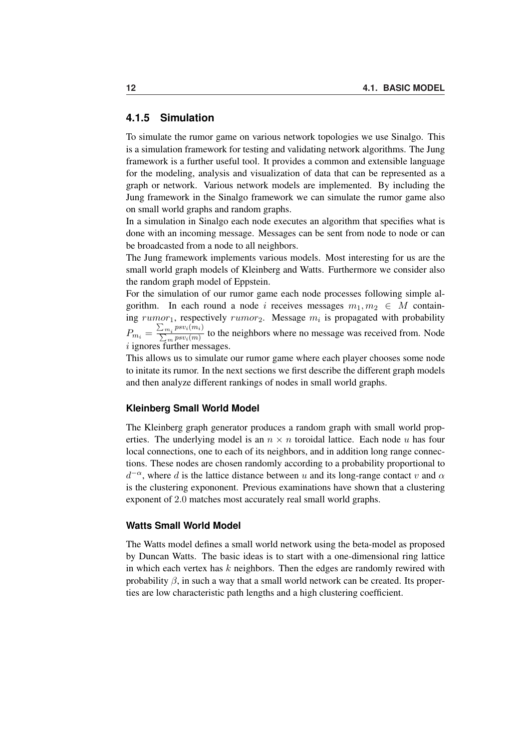#### **4.1.5 Simulation**

To simulate the rumor game on various network topologies we use Sinalgo. This is a simulation framework for testing and validating network algorithms. The Jung framework is a further useful tool. It provides a common and extensible language for the modeling, analysis and visualization of data that can be represented as a graph or network. Various network models are implemented. By including the Jung framework in the Sinalgo framework we can simulate the rumor game also on small world graphs and random graphs.

In a simulation in Sinalgo each node executes an algorithm that specifies what is done with an incoming message. Messages can be sent from node to node or can be broadcasted from a node to all neighbors.

The Jung framework implements various models. Most interesting for us are the small world graph models of Kleinberg and Watts. Furthermore we consider also the random graph model of Eppstein.

For the simulation of our rumor game each node processes following simple algorithm. In each round a node i receives messages  $m_1, m_2 \in M$  containing  $rumor_1$ , respectively  $rumor_2$ . Message  $m_i$  is propagated with probability  $P_{m_i}=$  $\frac{1}{2}$  $\sum_{m_i}^{m_i} \frac{psv_i(m_i)}{\sum_m psv_i(m)}$  to the neighbors where no message was received from. Node i ignores further messages.

This allows us to simulate our rumor game where each player chooses some node to initate its rumor. In the next sections we first describe the different graph models and then analyze different rankings of nodes in small world graphs.

#### **Kleinberg Small World Model**

The Kleinberg graph generator produces a random graph with small world properties. The underlying model is an  $n \times n$  toroidal lattice. Each node u has four local connections, one to each of its neighbors, and in addition long range connections. These nodes are chosen randomly according to a probability proportional to  $d^{-\alpha}$ , where d is the lattice distance between u and its long-range contact v and  $\alpha$ is the clustering expononent. Previous examinations have shown that a clustering exponent of 2.0 matches most accurately real small world graphs.

#### **Watts Small World Model**

The Watts model defines a small world network using the beta-model as proposed by Duncan Watts. The basic ideas is to start with a one-dimensional ring lattice in which each vertex has  $k$  neighbors. Then the edges are randomly rewired with probability  $\beta$ , in such a way that a small world network can be created. Its properties are low characteristic path lengths and a high clustering coefficient.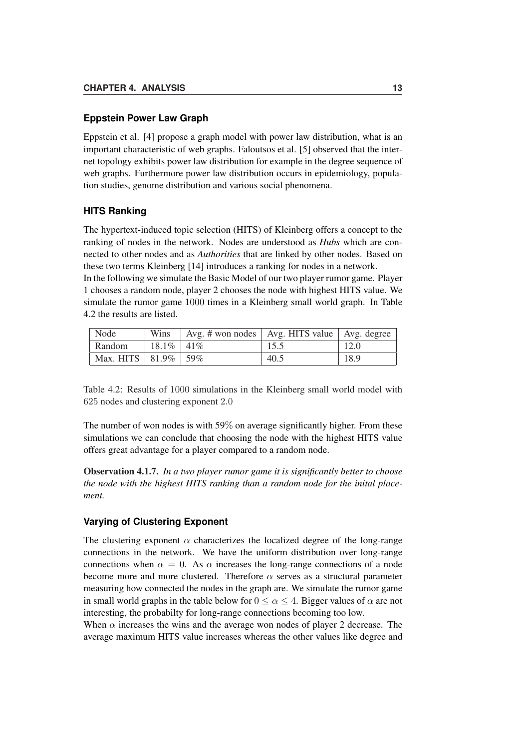#### **Eppstein Power Law Graph**

Eppstein et al. [4] propose a graph model with power law distribution, what is an important characteristic of web graphs. Faloutsos et al. [5] observed that the internet topology exhibits power law distribution for example in the degree sequence of web graphs. Furthermore power law distribution occurs in epidemiology, population studies, genome distribution and various social phenomena.

#### **HITS Ranking**

The hypertext-induced topic selection (HITS) of Kleinberg offers a concept to the ranking of nodes in the network. Nodes are understood as *Hubs* which are connected to other nodes and as *Authorities* that are linked by other nodes. Based on these two terms Kleinberg [14] introduces a ranking for nodes in a network.

In the following we simulate the Basic Model of our two player rumor game. Player 1 chooses a random node, player 2 chooses the node with highest HITS value. We simulate the rumor game 1000 times in a Kleinberg small world graph. In Table 4.2 the results are listed.

| Node                       |                 | Wins $\vert$ Avg. # won nodes $\vert$ Avg. HITS value $\vert$ Avg. degree |      |      |
|----------------------------|-----------------|---------------------------------------------------------------------------|------|------|
| Random                     | $18.1\%$   41\% |                                                                           | 15.5 | 12.0 |
| Max. HITS   $81.9\%$   59% |                 |                                                                           | 40.5 | 18.9 |

Table 4.2: Results of 1000 simulations in the Kleinberg small world model with 625 nodes and clustering exponent 2.0

The number of won nodes is with 59% on average significantly higher. From these simulations we can conclude that choosing the node with the highest HITS value offers great advantage for a player compared to a random node.

Observation 4.1.7. *In a two player rumor game it is significantly better to choose the node with the highest HITS ranking than a random node for the inital placement.*

#### **Varying of Clustering Exponent**

The clustering exponent  $\alpha$  characterizes the localized degree of the long-range connections in the network. We have the uniform distribution over long-range connections when  $\alpha = 0$ . As  $\alpha$  increases the long-range connections of a node become more and more clustered. Therefore  $\alpha$  serves as a structural parameter measuring how connected the nodes in the graph are. We simulate the rumor game in small world graphs in the table below for  $0 \le \alpha \le 4$ . Bigger values of  $\alpha$  are not interesting, the probabilty for long-range connections becoming too low.

When  $\alpha$  increases the wins and the average won nodes of player 2 decrease. The average maximum HITS value increases whereas the other values like degree and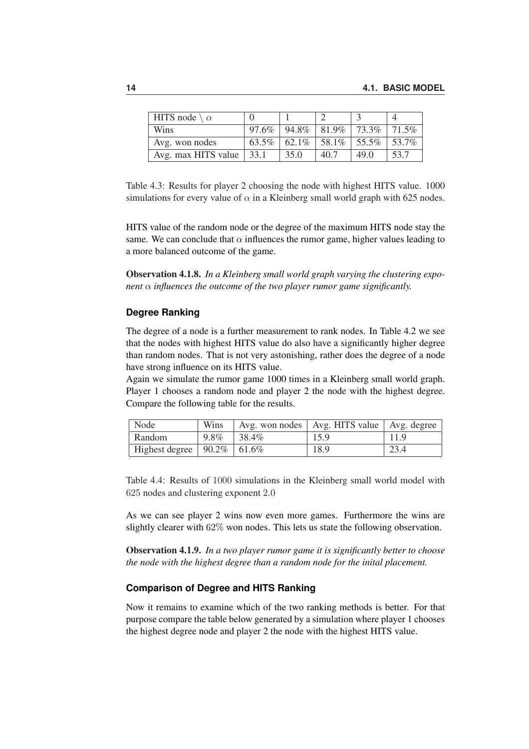| HITS node $\setminus \alpha$ |          |                        |      |       |       |
|------------------------------|----------|------------------------|------|-------|-------|
| <b>Wins</b>                  | 97.6%    | $94.8\%$   81.9%       |      | 73.3% | 71.5% |
| Avg. won nodes               | $63.5\%$ | $62.1\%$ 58.1\% 55.5\% |      |       | 53.7% |
| Avg. max HITS value          | 33.1     | 35.0                   | 40.7 | 49 Q  | 53.7  |

Table 4.3: Results for player 2 choosing the node with highest HITS value. 1000 simulations for every value of  $\alpha$  in a Kleinberg small world graph with 625 nodes.

HITS value of the random node or the degree of the maximum HITS node stay the same. We can conclude that  $\alpha$  influences the rumor game, higher values leading to a more balanced outcome of the game.

Observation 4.1.8. *In a Kleinberg small world graph varying the clustering exponent* α *influences the outcome of the two player rumor game significantly.*

#### **Degree Ranking**

The degree of a node is a further measurement to rank nodes. In Table 4.2 we see that the nodes with highest HITS value do also have a significantly higher degree than random nodes. That is not very astonishing, rather does the degree of a node have strong influence on its HITS value.

Again we simulate the rumor game 1000 times in a Kleinberg small world graph. Player 1 chooses a random node and player 2 the node with the highest degree. Compare the following table for the results.

| Node                              | Wins |                    | Avg. won nodes   Avg. HITS value   Avg. degree |      |
|-----------------------------------|------|--------------------|------------------------------------------------|------|
| Random                            | 9.8% | $\frac{1}{38.4\%}$ | 15.9                                           | 11.9 |
| Highest degree   $90.2\%$   61.6% |      |                    | 18.9                                           | 23.4 |

Table 4.4: Results of 1000 simulations in the Kleinberg small world model with 625 nodes and clustering exponent 2.0

As we can see player 2 wins now even more games. Furthermore the wins are slightly clearer with 62% won nodes. This lets us state the following observation.

Observation 4.1.9. *In a two player rumor game it is significantly better to choose the node with the highest degree than a random node for the inital placement.*

#### **Comparison of Degree and HITS Ranking**

Now it remains to examine which of the two ranking methods is better. For that purpose compare the table below generated by a simulation where player 1 chooses the highest degree node and player 2 the node with the highest HITS value.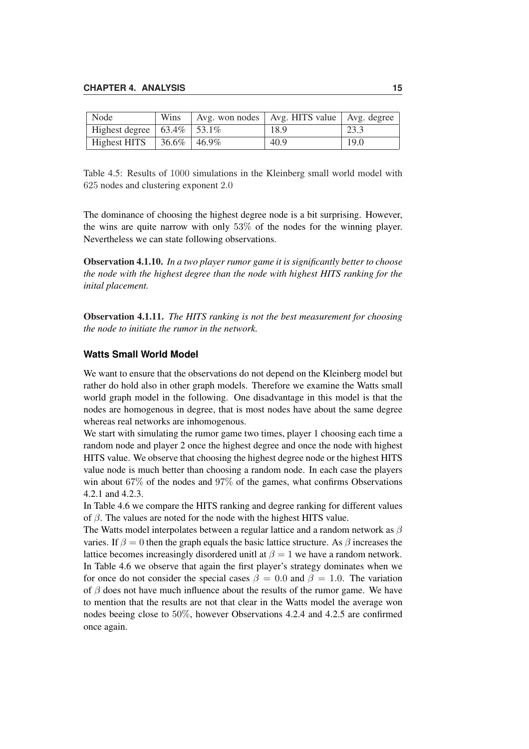| Node                               | Wins | Avg. won nodes   Avg. HITS value   Avg. degree |      |
|------------------------------------|------|------------------------------------------------|------|
| Highest degree   $63.4\%$   53.1%  |      | 18.9                                           | 23.3 |
| Highest HITS   $36.6\%$   $46.9\%$ |      | 40.9                                           | 19.0 |

Table 4.5: Results of 1000 simulations in the Kleinberg small world model with 625 nodes and clustering exponent 2.0

The dominance of choosing the highest degree node is a bit surprising. However, the wins are quite narrow with only 53% of the nodes for the winning player. Nevertheless we can state following observations.

Observation 4.1.10. *In a two player rumor game it is significantly better to choose the node with the highest degree than the node with highest HITS ranking for the inital placement.*

Observation 4.1.11. *The HITS ranking is not the best measurement for choosing the node to initiate the rumor in the network.*

#### **Watts Small World Model**

We want to ensure that the observations do not depend on the Kleinberg model but rather do hold also in other graph models. Therefore we examine the Watts small world graph model in the following. One disadvantage in this model is that the nodes are homogenous in degree, that is most nodes have about the same degree whereas real networks are inhomogenous.

We start with simulating the rumor game two times, player 1 choosing each time a random node and player 2 once the highest degree and once the node with highest HITS value. We observe that choosing the highest degree node or the highest HITS value node is much better than choosing a random node. In each case the players win about 67% of the nodes and 97% of the games, what confirms Observations 4.2.1 and 4.2.3.

In Table 4.6 we compare the HITS ranking and degree ranking for different values of  $\beta$ . The values are noted for the node with the highest HITS value.

The Watts model interpolates between a regular lattice and a random network as  $\beta$ varies. If  $\beta = 0$  then the graph equals the basic lattice structure. As  $\beta$  increases the lattice becomes increasingly disordered unitl at  $\beta = 1$  we have a random network. In Table 4.6 we observe that again the first player's strategy dominates when we for once do not consider the special cases  $\beta = 0.0$  and  $\beta = 1.0$ . The variation of  $\beta$  does not have much influence about the results of the rumor game. We have to mention that the results are not that clear in the Watts model the average won nodes beeing close to 50%, however Observations 4.2.4 and 4.2.5 are confirmed once again.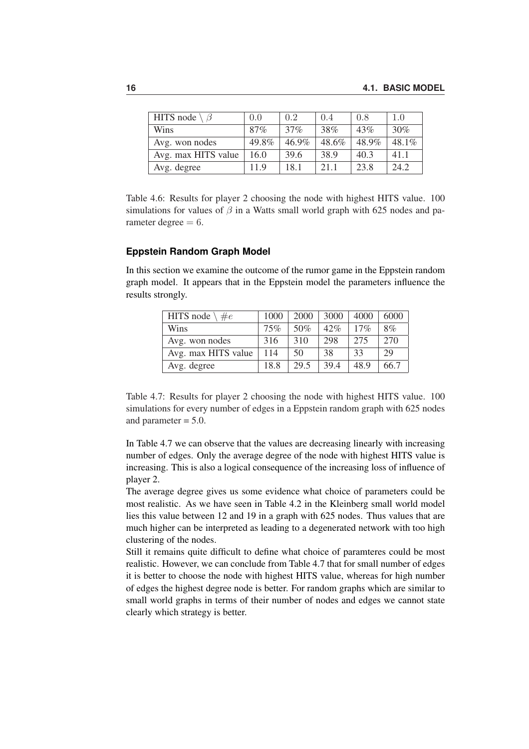| HITS node $\setminus \beta$ | 0.0   | 0.2   | 0.4   | 0.8   | 1.0      |
|-----------------------------|-------|-------|-------|-------|----------|
| Wins                        | 87%   | 37%   | 38%   | 43%   | 30%      |
| Avg. won nodes              | 49.8% | 46.9% | 48.6% | 48.9% | $48.1\%$ |
| Avg. max HITS value         | 16.0  | 39.6  | 38.9  | 40.3  | 41.1     |
| Avg. degree                 | 11.9  | 18.1  | 21.1  | 23.8  | 24.2     |

Table 4.6: Results for player 2 choosing the node with highest HITS value. 100 simulations for values of  $\beta$  in a Watts small world graph with 625 nodes and parameter degree  $= 6$ .

#### **Eppstein Random Graph Model**

In this section we examine the outcome of the rumor game in the Eppstein random graph model. It appears that in the Eppstein model the parameters influence the results strongly.

| HITS node $\setminus \#e$ | 1000 | 2000 | 3000 | 4000 | 6000 |
|---------------------------|------|------|------|------|------|
| Wins                      | 75%  | 50%  | 42%  | 17%  | 8%   |
| Avg. won nodes            | 316  | 310  | 298  | 275  | 270  |
| Avg. max HITS value       | 114  | 50   | 38   | 33   | 29   |
| Avg. degree               | 18.8 | 29.5 | 39.4 | 48.9 | 66.7 |

Table 4.7: Results for player 2 choosing the node with highest HITS value. 100 simulations for every number of edges in a Eppstein random graph with 625 nodes and parameter = 5.0.

In Table 4.7 we can observe that the values are decreasing linearly with increasing number of edges. Only the average degree of the node with highest HITS value is increasing. This is also a logical consequence of the increasing loss of influence of player 2.

The average degree gives us some evidence what choice of parameters could be most realistic. As we have seen in Table 4.2 in the Kleinberg small world model lies this value between 12 and 19 in a graph with 625 nodes. Thus values that are much higher can be interpreted as leading to a degenerated network with too high clustering of the nodes.

Still it remains quite difficult to define what choice of paramteres could be most realistic. However, we can conclude from Table 4.7 that for small number of edges it is better to choose the node with highest HITS value, whereas for high number of edges the highest degree node is better. For random graphs which are similar to small world graphs in terms of their number of nodes and edges we cannot state clearly which strategy is better.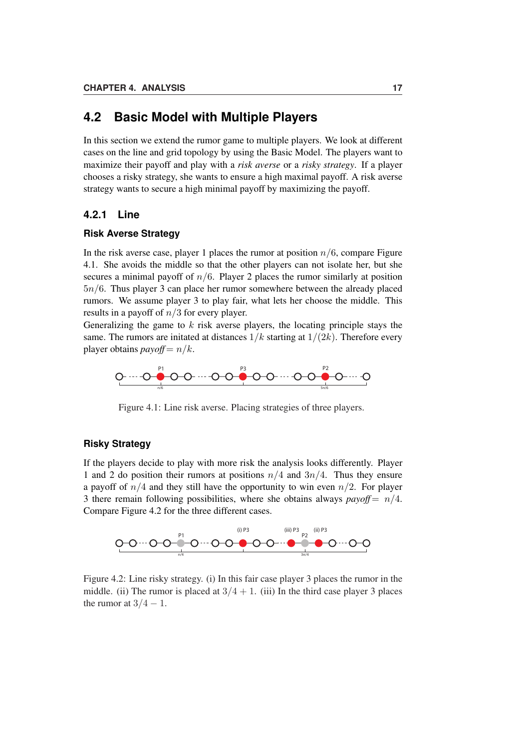### **4.2 Basic Model with Multiple Players**

In this section we extend the rumor game to multiple players. We look at different cases on the line and grid topology by using the Basic Model. The players want to maximize their payoff and play with a *risk averse* or a *risky strategy*. If a player chooses a risky strategy, she wants to ensure a high maximal payoff. A risk averse strategy wants to secure a high minimal payoff by maximizing the payoff.

#### **4.2.1 Line**

#### **Risk Averse Strategy**

In the risk averse case, player 1 places the rumor at position  $n/6$ , compare Figure 4.1. She avoids the middle so that the other players can not isolate her, but she secures a minimal payoff of  $n/6$ . Player 2 places the rumor similarly at position 5n/6. Thus player 3 can place her rumor somewhere between the already placed rumors. We assume player 3 to play fair, what lets her choose the middle. This results in a payoff of  $n/3$  for every player.

Generalizing the game to  $k$  risk averse players, the locating principle stays the same. The rumors are initated at distances  $1/k$  starting at  $1/(2k)$ . Therefore every player obtains *payoff* =  $n/k$ .



Figure 4.1: Line risk averse. Placing strategies of three players.

#### **Risky Strategy**

If the players decide to play with more risk the analysis looks differently. Player 1 and 2 do position their rumors at positions  $n/4$  and  $3n/4$ . Thus they ensure a payoff of  $n/4$  and they still have the opportunity to win even  $n/2$ . For player 3 there remain following possibilities, where she obtains always  $payoff = n/4$ . Compare Figure 4.2 for the three different cases.



Figure 4.2: Line risky strategy. (i) In this fair case player 3 places the rumor in the middle. (ii) The rumor is placed at  $3/4 + 1$ . (iii) In the third case player 3 places the rumor at  $3/4 - 1$ .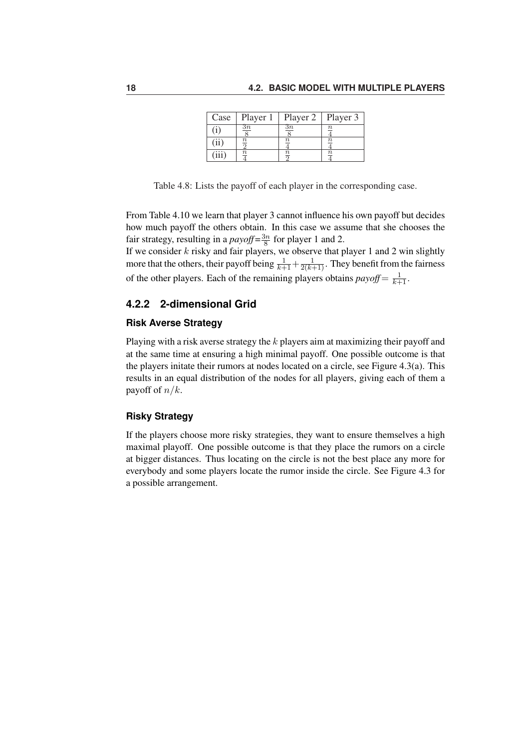| Case  | Player 1       | Player 2       | Player 3 |
|-------|----------------|----------------|----------|
| Ë)    | $\frac{3n}{2}$ | $\frac{3n}{2}$ |          |
| (ii)  | $\frac{n}{2}$  | $\it n$        | $\it n$  |
| (iii) | $\it n$        | $\frac{n}{2}$  | $\it n$  |

Table 4.8: Lists the payoff of each player in the corresponding case.

From Table 4.10 we learn that player 3 cannot influence his own payoff but decides how much payoff the others obtain. In this case we assume that she chooses the fair strategy, resulting in a *payoff* =  $\frac{3n}{8}$  $\frac{3n}{8}$  for player 1 and 2.

If we consider  $k$  risky and fair players, we observe that player 1 and 2 win slightly more that the others, their payoff being  $\frac{1}{k+1}+\frac{1}{2(k+1)}$ . They benefit from the fairness of the other players. Each of the remaining players obtains  $payoff = \frac{1}{k+1}$ .

### **4.2.2 2-dimensional Grid**

#### **Risk Averse Strategy**

Playing with a risk averse strategy the k players aim at maximizing their payoff and at the same time at ensuring a high minimal payoff. One possible outcome is that the players initate their rumors at nodes located on a circle, see Figure 4.3(a). This results in an equal distribution of the nodes for all players, giving each of them a payoff of  $n/k$ .

#### **Risky Strategy**

If the players choose more risky strategies, they want to ensure themselves a high maximal playoff. One possible outcome is that they place the rumors on a circle at bigger distances. Thus locating on the circle is not the best place any more for everybody and some players locate the rumor inside the circle. See Figure 4.3 for a possible arrangement.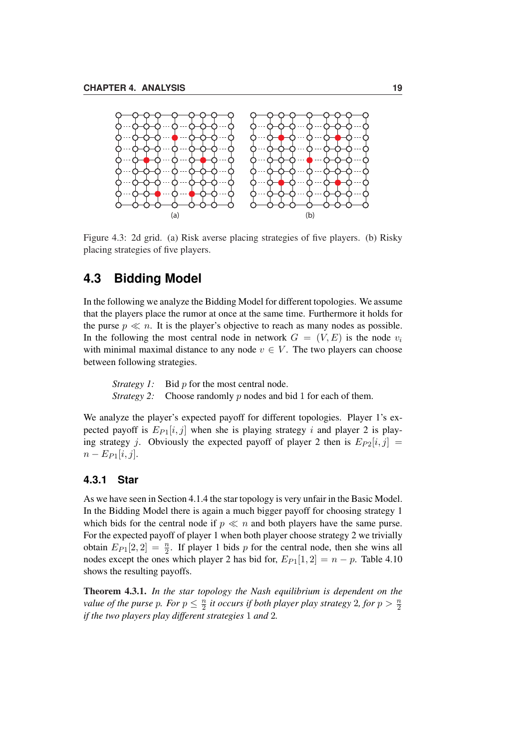

Figure 4.3: 2d grid. (a) Risk averse placing strategies of five players. (b) Risky placing strategies of five players.

# **4.3 Bidding Model**

In the following we analyze the Bidding Model for different topologies. We assume that the players place the rumor at once at the same time. Furthermore it holds for the purse  $p \ll n$ . It is the player's objective to reach as many nodes as possible. In the following the most central node in network  $G = (V, E)$  is the node  $v_i$ with minimal maximal distance to any node  $v \in V$ . The two players can choose between following strategies.

*Strategy 1:* Bid *p* for the most central node. *Strategy 2:* Choose randomly p nodes and bid 1 for each of them.

We analyze the player's expected payoff for different topologies. Player 1's expected payoff is  $E_{P1}[i, j]$  when she is playing strategy i and player 2 is playing strategy j. Obviously the expected payoff of player 2 then is  $E_{P2}[i, j] =$  $n - E_{P1}[i, j].$ 

#### **4.3.1 Star**

As we have seen in Section 4.1.4 the star topology is very unfair in the Basic Model. In the Bidding Model there is again a much bigger payoff for choosing strategy 1 which bids for the central node if  $p \ll n$  and both players have the same purse. For the expected payoff of player 1 when both player choose strategy 2 we trivially obtain  $E_{P1}[2,2] = \frac{n}{2}$ . If player 1 bids p for the central node, then she wins all nodes except the ones which player 2 has bid for,  $E_{P1}[1, 2] = n - p$ . Table 4.10 shows the resulting payoffs.

Theorem 4.3.1. *In the star topology the Nash equilibrium is dependent on the value of the purse p. For*  $p \leq \frac{n}{2}$  $\frac{n}{2}$  *it occurs if both player play strategy* 2*, for*  $p > \frac{n}{2}$ *if the two players play different strategies* 1 *and* 2*.*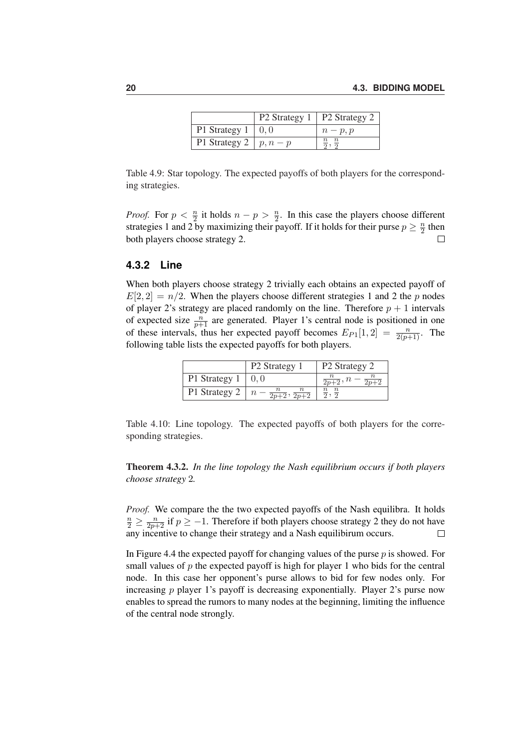|                           | P2 Strategy 1   P2 Strategy 2 |          |
|---------------------------|-------------------------------|----------|
| P1 Strategy $1 \mid 0, 0$ |                               | $n-p, p$ |
| P1 Strategy 2   $p, n-p$  |                               |          |

Table 4.9: Star topology. The expected payoffs of both players for the corresponding strategies.

*Proof.* For  $p < \frac{n}{2}$  it holds  $n - p > \frac{n}{2}$ . In this case the players choose different strategies 1 and 2 by maximizing their payoff. If it holds for their purse  $p \geq \frac{n}{2}$  $\frac{n}{2}$  then both players choose strategy 2.  $\Box$ 

#### **4.3.2 Line**

When both players choose strategy 2 trivially each obtains an expected payoff of  $E[2, 2] = n/2$ . When the players choose different strategies 1 and 2 the p nodes of player 2's strategy are placed randomly on the line. Therefore  $p + 1$  intervals of expected size  $\frac{n}{p+1}$  are generated. Player 1's central node is positioned in one of these intervals, thus her expected payoff becomes  $E_{P1}[1,2] = \frac{n}{2(p+1)}$ . The following table lists the expected payoffs for both players.

|               | P <sub>2</sub> Strategy 1 | P <sub>2</sub> Strategy 2  |
|---------------|---------------------------|----------------------------|
| P1 Strategy 1 |                           | $\overline{2n+2}$ , $n$    |
| P1 Strategy 2 |                           | $\frac{n}{2}, \frac{n}{2}$ |

Table 4.10: Line topology. The expected payoffs of both players for the corresponding strategies.

Theorem 4.3.2. *In the line topology the Nash equilibrium occurs if both players choose strategy* 2*.*

*Proof.* We compare the the two expected payoffs of the Nash equilibra. It holds  $\frac{n}{2} \ge \frac{n}{2p+2}$  if  $p \ge -1$ . Therefore if both players choose strategy 2 they do not have any incentive to change their strategy and a Nash equilibirum occurs.  $\Box$ 

In Figure 4.4 the expected payoff for changing values of the purse p is showed. For small values of  $p$  the expected payoff is high for player 1 who bids for the central node. In this case her opponent's purse allows to bid for few nodes only. For increasing  $p$  player 1's payoff is decreasing exponentially. Player 2's purse now enables to spread the rumors to many nodes at the beginning, limiting the influence of the central node strongly.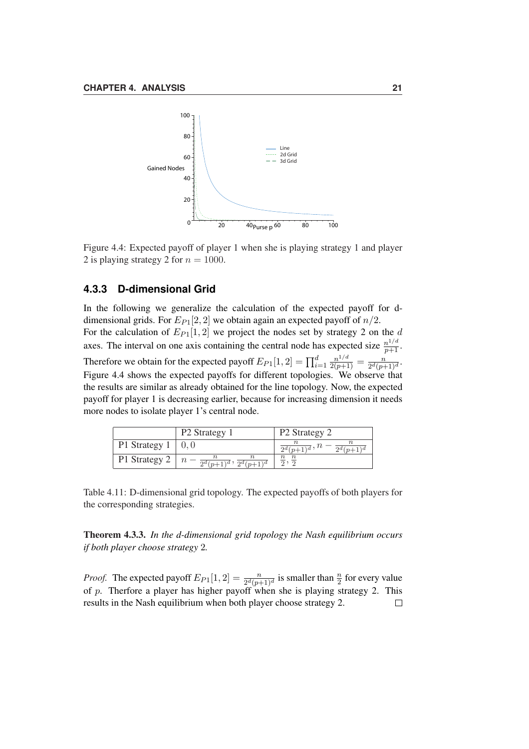

Figure 4.4: Expected payoff of player 1 when she is playing strategy 1 and player 2 is playing strategy 2 for  $n = 1000$ .

#### **4.3.3 D-dimensional Grid**

In the following we generalize the calculation of the expected payoff for ddimensional grids. For  $E_{P1}[2, 2]$  we obtain again an expected payoff of  $n/2$ . For the calculation of  $E_{P1}[1,2]$  we project the nodes set by strategy 2 on the d axes. The interval on one axis containing the central node has expected size  $\frac{n^{1/d}}{p+1}$ . Therefore we obtain for the expected payoff  $E_{P1}[1,2] = \prod_{i=1}^{d} \frac{n^{1/d}}{2(p+1)} = \frac{n}{2^d(p+1)}$  $\frac{n}{2^d(p+1)^d}$ Figure 4.4 shows the expected payoffs for different topologies. We observe that the results are similar as already obtained for the line topology. Now, the expected payoff for player 1 is decreasing earlier, because for increasing dimension it needs more nodes to isolate player 1's central node.

|               | P <sub>2</sub> Strategy 1                       | P <sub>2</sub> Strategy 2                        |
|---------------|-------------------------------------------------|--------------------------------------------------|
| P1 Strategy 1 |                                                 | $\frac{n}{2^d(p+1)^d}, n - \frac{n}{2^d(p+1)^d}$ |
| P1 Strategy 2 | $\frac{1}{2^d(p+1)^d}$ , $\frac{1}{2^d(p+1)^d}$ |                                                  |

Table 4.11: D-dimensional grid topology. The expected payoffs of both players for the corresponding strategies.

Theorem 4.3.3. *In the d-dimensional grid topology the Nash equilibrium occurs if both player choose strategy* 2*.*

*Proof.* The expected payoff  $E_{P1}[1,2] = \frac{n}{2^d(p+1)^d}$  is smaller than  $\frac{n}{2}$  for every value of p. Therfore a player has higher payoff when she is playing strategy 2. This results in the Nash equilibrium when both player choose strategy 2. $\Box$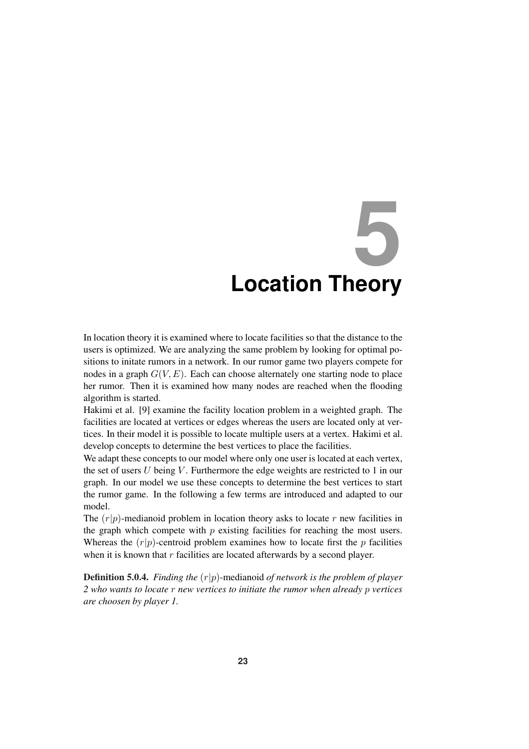# **5 Location Theory**

In location theory it is examined where to locate facilities so that the distance to the users is optimized. We are analyzing the same problem by looking for optimal positions to initate rumors in a network. In our rumor game two players compete for nodes in a graph  $G(V, E)$ . Each can choose alternately one starting node to place her rumor. Then it is examined how many nodes are reached when the flooding algorithm is started.

Hakimi et al. [9] examine the facility location problem in a weighted graph. The facilities are located at vertices or edges whereas the users are located only at vertices. In their model it is possible to locate multiple users at a vertex. Hakimi et al. develop concepts to determine the best vertices to place the facilities.

We adapt these concepts to our model where only one user is located at each vertex, the set of users  $U$  being  $V$ . Furthermore the edge weights are restricted to 1 in our graph. In our model we use these concepts to determine the best vertices to start the rumor game. In the following a few terms are introduced and adapted to our model.

The  $(r|p)$ -medianoid problem in location theory asks to locate r new facilities in the graph which compete with  $p$  existing facilities for reaching the most users. Whereas the  $(r|p)$ -centroid problem examines how to locate first the p facilities when it is known that  $r$  facilities are located afterwards by a second player.

Definition 5.0.4. *Finding the* (r|p)-medianoid *of network is the problem of player 2 who wants to locate* r *new vertices to initiate the rumor when already* p *vertices are choosen by player 1.*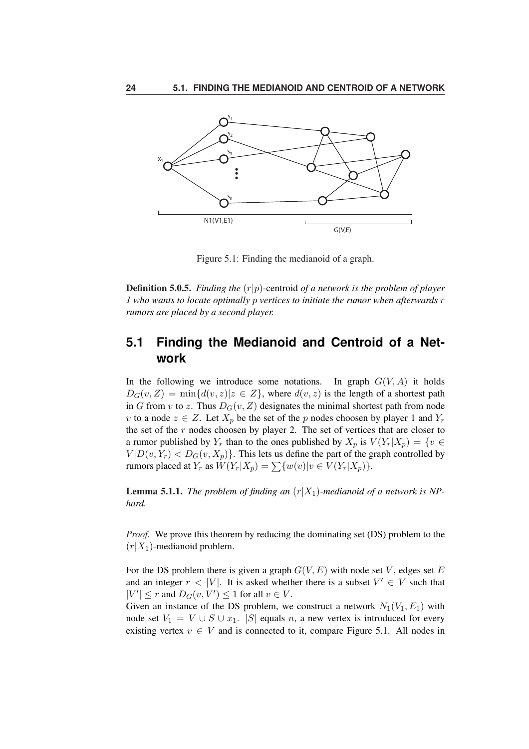

Figure 5.1: Finding the medianoid of a graph.

Definition 5.0.5. *Finding the* (r|p)-centroid *of a network is the problem of player 1 who wants to locate optimally* p *vertices to initiate the rumor when afterwards* r *rumors are placed by a second player.*

# **5.1 Finding the Medianoid and Centroid of a Network**

In the following we introduce some notations. In graph  $G(V, A)$  it holds  $D_G(v, Z) = \min\{d(v, z)|z \in Z\}$ , where  $d(v, z)$  is the length of a shortest path in G from v to z. Thus  $D_G(v, Z)$  designates the minimal shortest path from node v to a node  $z \in Z$ . Let  $X_p$  be the set of the p nodes choosen by player 1 and  $Y_r$ the set of the  $r$  nodes choosen by player 2. The set of vertices that are closer to a rumor published by Y<sub>r</sub> than to the ones published by  $X_p$  is  $V(Y_r|X_p) = \{v \in$  $V|D(v, Y_r) < D_G(v, X_p)$ . This lets us define the part of the graph controlled by rumors placed at  $Y_r$  as  $W(Y_r|X_p) = \sum \{w(v)|v \in V(Y_r|X_p)\}.$ 

**Lemma 5.1.1.** *The problem of finding an*  $(r|X_1)$ -medianoid of a network is NP*hard.*

*Proof.* We prove this theorem by reducing the dominating set (DS) problem to the  $(r|X_1)$ -medianoid problem.

For the DS problem there is given a graph  $G(V, E)$  with node set V, edges set E and an integer  $r < |V|$ . It is asked whether there is a subset  $V' \in V$  such that  $|V'| \leq r$  and  $D_G(v, V') \leq 1$  for all  $v \in V$ .

Given an instance of the DS problem, we construct a network  $N_1(V_1, E_1)$  with node set  $V_1 = V \cup S \cup x_1$ . |S| equals n, a new vertex is introduced for every existing vertex  $v \in V$  and is connected to it, compare Figure 5.1. All nodes in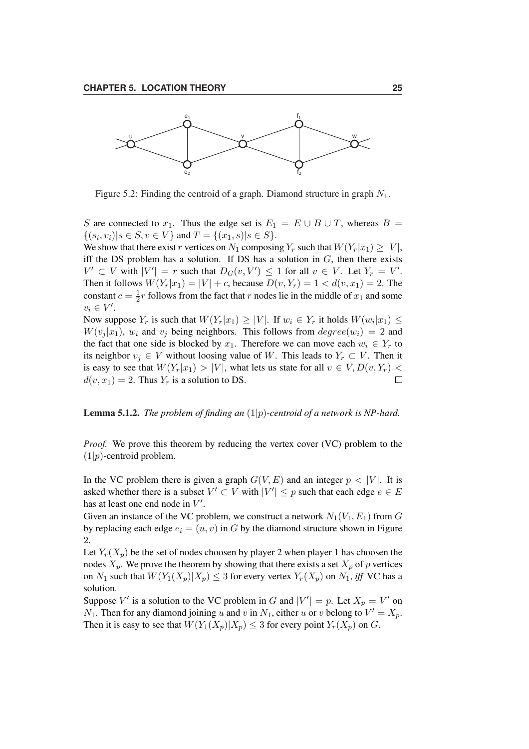

Figure 5.2: Finding the centroid of a graph. Diamond structure in graph  $N_1$ .

S are connected to  $x_1$ . Thus the edge set is  $E_1 = E \cup B \cup T$ , whereas  $B =$  $\{(s_i, v_i)| s \in S, v \in V\}$  and  $T = \{(x_1, s)| s \in S\}.$ 

We show that there exist r vertices on  $N_1$  composing  $Y_r$  such that  $W(Y_r|x_1) \geq |V|$ , iff the DS problem has a solution. If DS has a solution in  $G$ , then there exists  $V' \subset V$  with  $|V'| = r$  such that  $D_G(v, V') \leq 1$  for all  $v \in V$ . Let  $Y_r = V'$ . Then it follows  $W(Y_r|x_1) = |V| + c$ , because  $D(v, Y_r) = 1 < d(v, x_1) = 2$ . The constant  $c = \frac{1}{2}$  $\frac{1}{2}r$  follows from the fact that r nodes lie in the middle of  $x_1$  and some  $v_i \in V'.$ 

Now suppose  $Y_r$  is such that  $W(Y_r|x_1) \geq |V|$ . If  $w_i \in Y_r$  it holds  $W(w_i|x_1) \leq$  $W(v_i | x_1)$ ,  $w_i$  and  $v_j$  being neighbors. This follows from  $degree(w_i) = 2$  and the fact that one side is blocked by  $x_1$ . Therefore we can move each  $w_i \in Y_r$  to its neighbor  $v_i \in V$  without loosing value of W. This leads to  $Y_r \subset V$ . Then it is easy to see that  $W(Y_r|x_1) > |V|$ , what lets us state for all  $v \in V, D(v, Y_r)$  $d(v, x_1) = 2$ . Thus  $Y_r$  is a solution to DS.  $\Box$ 

#### Lemma 5.1.2. *The problem of finding an* (1|p)*-centroid of a network is NP-hard.*

*Proof.* We prove this theorem by reducing the vertex cover (VC) problem to the  $(1|p)$ -centroid problem.

In the VC problem there is given a graph  $G(V, E)$  and an integer  $p < |V|$ . It is asked whether there is a subset  $V' \subset V$  with  $|V'| \leq p$  such that each edge  $e \in E$ has at least one end node in  $V'$ .

Given an instance of the VC problem, we construct a network  $N_1(V_1, E_1)$  from G by replacing each edge  $e_i = (u, v)$  in G by the diamond structure shown in Figure 2.

Let  $Y_r(X_p)$  be the set of nodes choosen by player 2 when player 1 has choosen the nodes  $X_p$ . We prove the theorem by showing that there exists a set  $X_p$  of p vertices on  $N_1$  such that  $W(Y_1(X_p)|X_p) \leq 3$  for every vertex  $Y_r(X_p)$  on  $N_1$ , *iff* VC has a solution.

Suppose V' is a solution to the VC problem in G and  $|V'| = p$ . Let  $X_p = V'$  on  $N_1$ . Then for any diamond joining u and v in  $N_1$ , either u or v belong to  $V' = X_p$ . Then it is easy to see that  $W(Y_1(X_p)|X_p) \leq 3$  for every point  $Y_r(X_p)$  on G.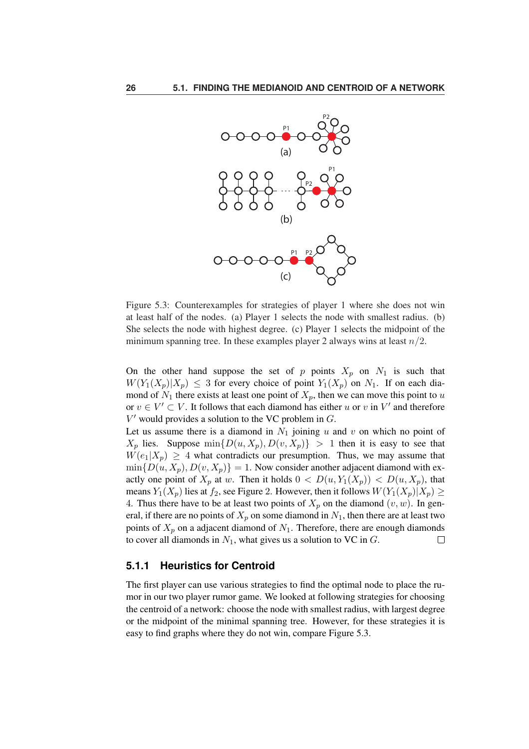

Figure 5.3: Counterexamples for strategies of player 1 where she does not win at least half of the nodes. (a) Player 1 selects the node with smallest radius. (b) She selects the node with highest degree. (c) Player 1 selects the midpoint of the minimum spanning tree. In these examples player 2 always wins at least  $n/2$ .

On the other hand suppose the set of p points  $X_p$  on  $N_1$  is such that  $W(Y_1(X_p)|X_p) \leq 3$  for every choice of point  $Y_1(X_p)$  on  $N_1$ . If on each diamond of  $N_1$  there exists at least one point of  $X_p$ , then we can move this point to u or  $v \in V' \subset V$ . It follows that each diamond has either u or v in V' and therefore  $V'$  would provides a solution to the VC problem in  $G$ .

Let us assume there is a diamond in  $N_1$  joining u and v on which no point of  $X_p$  lies. Suppose  $\min\{D(u, X_p), D(v, X_p)\} > 1$  then it is easy to see that  $W(e_1|X_p) \geq 4$  what contradicts our presumption. Thus, we may assume that  $\min\{D(u, X_p), D(v, X_p)\} = 1$ . Now consider another adjacent diamond with exactly one point of  $X_p$  at w. Then it holds  $0 < D(u, Y_1(X_p)) < D(u, X_p)$ , that means  $Y_1(X_p)$  lies at  $f_2$ , see Figure 2. However, then it follows  $W(Y_1(X_p)|X_p) \geq$ 4. Thus there have to be at least two points of  $X_p$  on the diamond  $(v, w)$ . In general, if there are no points of  $X_p$  on some diamond in  $N_1$ , then there are at least two points of  $X_p$  on a adjacent diamond of  $N_1$ . Therefore, there are enough diamonds to cover all diamonds in  $N_1$ , what gives us a solution to VC in  $G$ .  $\Box$ 

#### **5.1.1 Heuristics for Centroid**

The first player can use various strategies to find the optimal node to place the rumor in our two player rumor game. We looked at following strategies for choosing the centroid of a network: choose the node with smallest radius, with largest degree or the midpoint of the minimal spanning tree. However, for these strategies it is easy to find graphs where they do not win, compare Figure 5.3.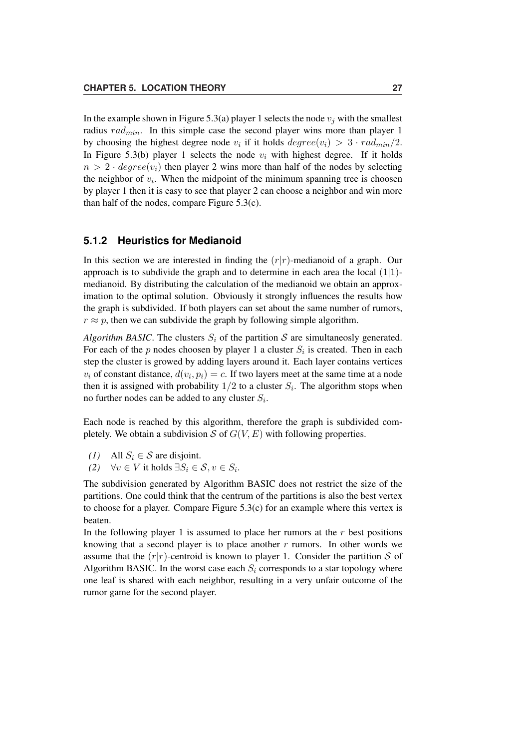In the example shown in Figure 5.3(a) player 1 selects the node  $v_i$  with the smallest radius  $rad_{min}$ . In this simple case the second player wins more than player 1 by choosing the highest degree node  $v_i$  if it holds  $degree(v_i) > 3 \cdot rad_{min}/2$ . In Figure 5.3(b) player 1 selects the node  $v_i$  with highest degree. If it holds  $n > 2 \cdot degree(v_i)$  then player 2 wins more than half of the nodes by selecting the neighbor of  $v_i$ . When the midpoint of the minimum spanning tree is choosen by player 1 then it is easy to see that player 2 can choose a neighbor and win more than half of the nodes, compare Figure 5.3(c).

#### **5.1.2 Heuristics for Medianoid**

In this section we are interested in finding the  $(r|r)$ -medianoid of a graph. Our approach is to subdivide the graph and to determine in each area the local  $(1|1)$ medianoid. By distributing the calculation of the medianoid we obtain an approximation to the optimal solution. Obviously it strongly influences the results how the graph is subdivided. If both players can set about the same number of rumors,  $r \approx p$ , then we can subdivide the graph by following simple algorithm.

*Algorithm BASIC*. The clusters  $S_i$  of the partition S are simultaneosly generated. For each of the p nodes choosen by player 1 a cluster  $S_i$  is created. Then in each step the cluster is growed by adding layers around it. Each layer contains vertices  $v_i$  of constant distance,  $d(v_i, p_i) = c$ . If two layers meet at the same time at a node then it is assigned with probability  $1/2$  to a cluster  $S_i$ . The algorithm stops when no further nodes can be added to any cluster  $S_i$ .

Each node is reached by this algorithm, therefore the graph is subdivided completely. We obtain a subdivision S of  $G(V, E)$  with following properties.

- *(1)* All  $S_i \in \mathcal{S}$  are disjoint.
- *(2)*  $\forall v \in V$  it holds  $\exists S_i \in \mathcal{S}, v \in S_i$ .

The subdivision generated by Algorithm BASIC does not restrict the size of the partitions. One could think that the centrum of the partitions is also the best vertex to choose for a player. Compare Figure 5.3(c) for an example where this vertex is beaten.

In the following player 1 is assumed to place her rumors at the  $r$  best positions knowing that a second player is to place another  $r$  rumors. In other words we assume that the  $(r|r)$ -centroid is known to player 1. Consider the partition S of Algorithm BASIC. In the worst case each  $S_i$  corresponds to a star topology where one leaf is shared with each neighbor, resulting in a very unfair outcome of the rumor game for the second player.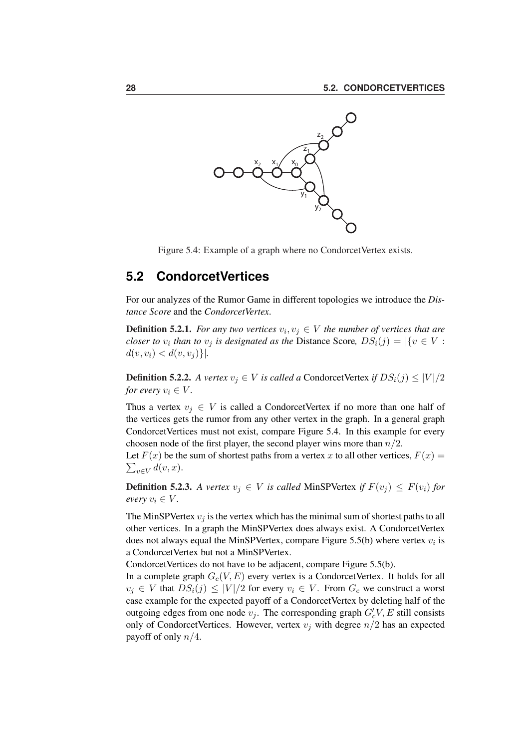

Figure 5.4: Example of a graph where no Condorcet Vertex exists.

### **5.2 CondorcetVertices**

For our analyzes of the Rumor Game in different topologies we introduce the *Distance Score* and the *CondorcetVertex*.

**Definition 5.2.1.** For any two vertices  $v_i, v_j \in V$  the number of vertices that are *closer to*  $v_i$  *than to*  $v_j$  *is designated as the Distance Score,*  $DS_i(j) = |\{v \in V :$  $d(v, v_i) < d(v, v_j)$  }|.

**Definition 5.2.2.** *A vertex*  $v_j \in V$  *is called a* CondorcetVertex *if*  $DS_i(j) \leq |V|/2$ *for every*  $v_i \in V$ .

Thus a vertex  $v_i \in V$  is called a CondorcetVertex if no more than one half of the vertices gets the rumor from any other vertex in the graph. In a general graph CondorcetVertices must not exist, compare Figure 5.4. In this example for every choosen node of the first player, the second player wins more than  $n/2$ .

Let  $F(x)$  be the sum of shortest paths from a vertex x to all other vertices,  $F(x) = \sum_{x=0}^{\infty}$  $v \in V$   $d(v, x)$ .

**Definition 5.2.3.** *A vertex*  $v_j \in V$  *is called* MinSPVertex *if*  $F(v_j) \leq F(v_i)$  *for every*  $v_i \in V$ *.* 

The MinSPVertex  $v_i$  is the vertex which has the minimal sum of shortest paths to all other vertices. In a graph the MinSPVertex does always exist. A CondorcetVertex does not always equal the MinSPVertex, compare Figure 5.5(b) where vertex  $v_i$  is a CondorcetVertex but not a MinSPVertex.

CondorcetVertices do not have to be adjacent, compare Figure 5.5(b).

In a complete graph  $G_c(V, E)$  every vertex is a CondorcetVertex. It holds for all  $v_i \in V$  that  $DS_i(j) \leq |V|/2$  for every  $v_i \in V$ . From  $G_c$  we construct a worst case example for the expected payoff of a CondorcetVertex by deleting half of the outgoing edges from one node  $v_j$ . The corresponding graph  $G_c^{\prime}V$ , E still consists only of CondorcetVertices. However, vertex  $v_j$  with degree  $n/2$  has an expected payoff of only  $n/4$ .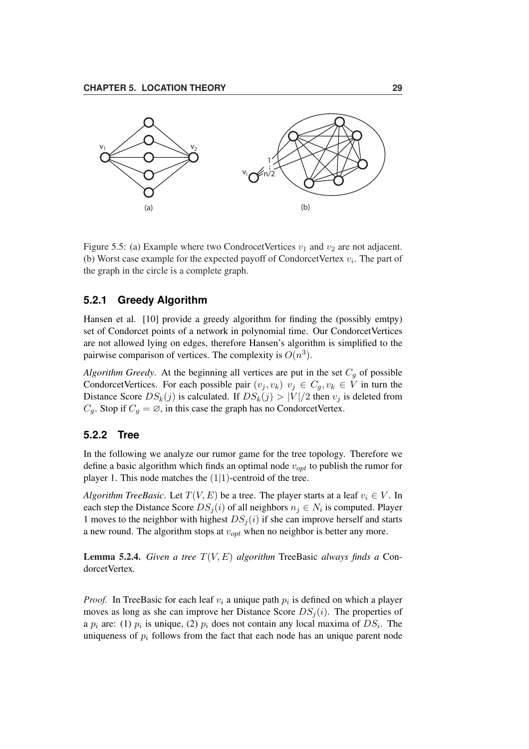

Figure 5.5: (a) Example where two Condrocet Vertices  $v_1$  and  $v_2$  are not adjacent. (b) Worst case example for the expected payoff of CondorcetVertex  $v_i$ . The part of the graph in the circle is a complete graph.

#### **5.2.1 Greedy Algorithm**

Hansen et al. [10] provide a greedy algorithm for finding the (possibly emtpy) set of Condorcet points of a network in polynomial time. Our CondorcetVertices are not allowed lying on edges, therefore Hansen's algorithm is simplified to the pairwise comparison of vertices. The complexity is  $O(n^3)$ .

*Algorithm Greedy*. At the beginning all vertices are put in the set  $C_q$  of possible CondorcetVertices. For each possible pair  $(v_j, v_k)$   $v_j \in C_q, v_k \in V$  in turn the Distance Score  $DS_k(j)$  is calculated. If  $DS_k(j) > |V|/2$  then  $v_j$  is deleted from  $C_g$ . Stop if  $C_g = \emptyset$ , in this case the graph has no CondorcetVertex.

#### **5.2.2 Tree**

In the following we analyze our rumor game for the tree topology. Therefore we define a basic algorithm which finds an optimal node  $v_{opt}$  to publish the rumor for player 1. This node matches the  $(1|1)$ -centroid of the tree.

*Algorithm TreeBasic.* Let  $T(V, E)$  be a tree. The player starts at a leaf  $v_i \in V$ . In each step the Distance Score  $DS_j(i)$  of all neighbors  $n_j \in N_i$  is computed. Player 1 moves to the neighbor with highest  $DS<sub>j</sub>(i)$  if she can improve herself and starts a new round. The algorithm stops at  $v_{opt}$  when no neighbor is better any more.

Lemma 5.2.4. *Given a tree* T(V, E) *algorithm* TreeBasic *always finds a* CondorcetVertex*.*

*Proof.* In TreeBasic for each leaf  $v_i$  a unique path  $p_i$  is defined on which a player moves as long as she can improve her Distance Score  $DS_i(i)$ . The properties of a  $p_i$  are: (1)  $p_i$  is unique, (2)  $p_i$  does not contain any local maxima of  $DS_i$ . The uniqueness of  $p_i$  follows from the fact that each node has an unique parent node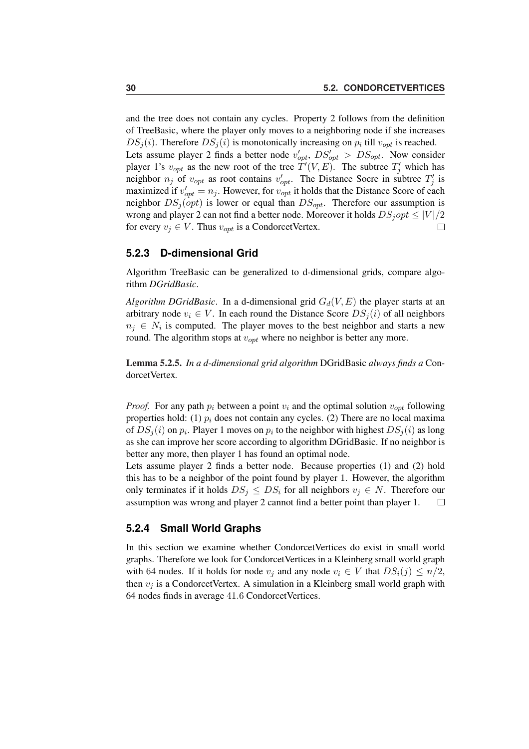and the tree does not contain any cycles. Property 2 follows from the definition of TreeBasic, where the player only moves to a neighboring node if she increases  $DS_j(i)$ . Therefore  $DS_j(i)$  is monotonically increasing on  $p_i$  till  $v_{opt}$  is reached. Lets assume player 2 finds a better node  $v'_{opt}$ ,  $DS'_{opt} > DS_{opt}$ . Now consider player 1's  $v_{opt}$  as the new root of the tree  $\dot{T}'(V, E)$ . The subtree  $T'_j$  which has neighbor  $n_j$  of  $v_{opt}$  as root contains  $v'_{opt}$ . The Distance Socre in subtree  $T'_j$  is maximized if  $v'_{opt} = n_j$ . However, for  $v_{opt}$  it holds that the Distance Score of each neighbor  $DS_j(opt)$  is lower or equal than  $DS_{opt}$ . Therefore our assumption is wrong and player 2 can not find a better node. Moreover it holds  $DS_jopt \leq |V|/2$ for every  $v_j \in V$ . Thus  $v_{opt}$  is a CondorcetVertex.  $\Box$ 

#### **5.2.3 D-dimensional Grid**

Algorithm TreeBasic can be generalized to d-dimensional grids, compare algorithm *DGridBasic*.

*Algorithm DGridBasic*. In a d-dimensional grid  $G_d(V, E)$  the player starts at an arbitrary node  $v_i \in V$ . In each round the Distance Score  $DS_i(i)$  of all neighbors  $n_j \in N_i$  is computed. The player moves to the best neighbor and starts a new round. The algorithm stops at  $v_{opt}$  where no neighbor is better any more.

Lemma 5.2.5. *In a d-dimensional grid algorithm* DGridBasic *always finds a* CondorcetVertex*.*

*Proof.* For any path  $p_i$  between a point  $v_i$  and the optimal solution  $v_{opt}$  following properties hold: (1)  $p_i$  does not contain any cycles. (2) There are no local maxima of  $DS_j(i)$  on  $p_i$ . Player 1 moves on  $p_i$  to the neighbor with highest  $DS_j(i)$  as long as she can improve her score according to algorithm DGridBasic. If no neighbor is better any more, then player 1 has found an optimal node.

Lets assume player 2 finds a better node. Because properties (1) and (2) hold this has to be a neighbor of the point found by player 1. However, the algorithm only terminates if it holds  $DS_j \leq DS_i$  for all neighbors  $v_j \in N$ . Therefore our assumption was wrong and player 2 cannot find a better point than player 1.  $\Box$ 

#### **5.2.4 Small World Graphs**

In this section we examine whether CondorcetVertices do exist in small world graphs. Therefore we look for CondorcetVertices in a Kleinberg small world graph with 64 nodes. If it holds for node  $v_i$  and any node  $v_i \in V$  that  $DS_i(j) \leq n/2$ , then  $v_i$  is a CondorcetVertex. A simulation in a Kleinberg small world graph with 64 nodes finds in average 41.6 CondorcetVertices.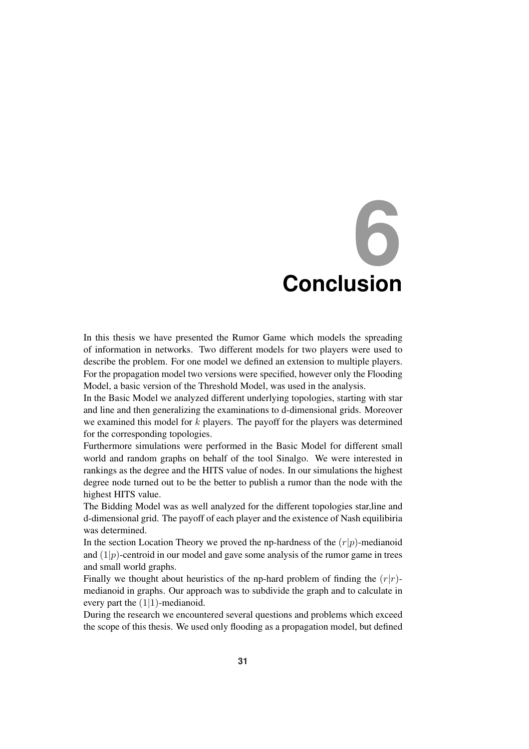# **6 Conclusion**

In this thesis we have presented the Rumor Game which models the spreading of information in networks. Two different models for two players were used to describe the problem. For one model we defined an extension to multiple players. For the propagation model two versions were specified, however only the Flooding Model, a basic version of the Threshold Model, was used in the analysis.

In the Basic Model we analyzed different underlying topologies, starting with star and line and then generalizing the examinations to d-dimensional grids. Moreover we examined this model for  $k$  players. The payoff for the players was determined for the corresponding topologies.

Furthermore simulations were performed in the Basic Model for different small world and random graphs on behalf of the tool Sinalgo. We were interested in rankings as the degree and the HITS value of nodes. In our simulations the highest degree node turned out to be the better to publish a rumor than the node with the highest HITS value.

The Bidding Model was as well analyzed for the different topologies star,line and d-dimensional grid. The payoff of each player and the existence of Nash equilibiria was determined.

In the section Location Theory we proved the np-hardness of the  $(r|p)$ -medianoid and  $(1|p)$ -centroid in our model and gave some analysis of the rumor game in trees and small world graphs.

Finally we thought about heuristics of the np-hard problem of finding the  $(r|r)$ medianoid in graphs. Our approach was to subdivide the graph and to calculate in every part the  $(1|1)$ -medianoid.

During the research we encountered several questions and problems which exceed the scope of this thesis. We used only flooding as a propagation model, but defined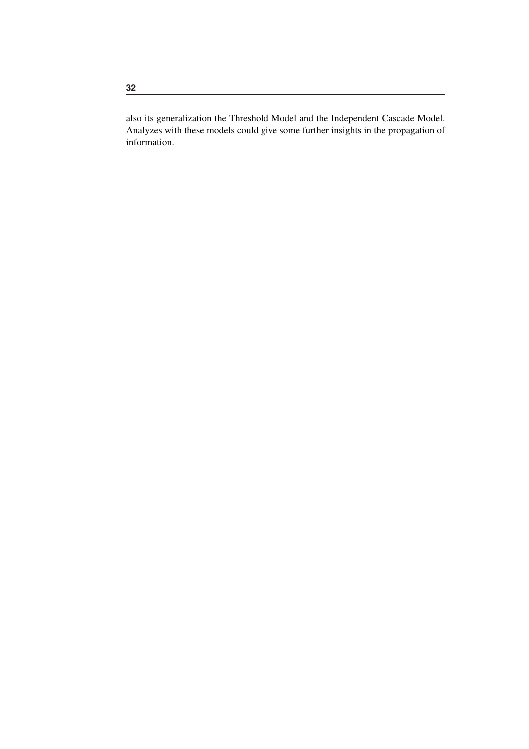also its generalization the Threshold Model and the Independent Cascade Model. Analyzes with these models could give some further insights in the propagation of information.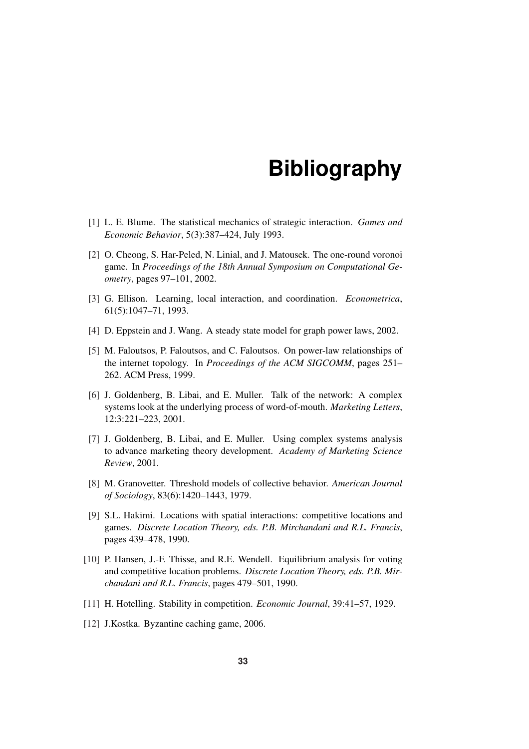# **Bibliography**

- [1] L. E. Blume. The statistical mechanics of strategic interaction. *Games and Economic Behavior*, 5(3):387–424, July 1993.
- [2] O. Cheong, S. Har-Peled, N. Linial, and J. Matousek. The one-round voronoi game. In *Proceedings of the 18th Annual Symposium on Computational Geometry*, pages 97–101, 2002.
- [3] G. Ellison. Learning, local interaction, and coordination. *Econometrica*, 61(5):1047–71, 1993.
- [4] D. Eppstein and J. Wang. A steady state model for graph power laws, 2002.
- [5] M. Faloutsos, P. Faloutsos, and C. Faloutsos. On power-law relationships of the internet topology. In *Proceedings of the ACM SIGCOMM*, pages 251– 262. ACM Press, 1999.
- [6] J. Goldenberg, B. Libai, and E. Muller. Talk of the network: A complex systems look at the underlying process of word-of-mouth. *Marketing Letters*, 12:3:221–223, 2001.
- [7] J. Goldenberg, B. Libai, and E. Muller. Using complex systems analysis to advance marketing theory development. *Academy of Marketing Science Review*, 2001.
- [8] M. Granovetter. Threshold models of collective behavior. *American Journal of Sociology*, 83(6):1420–1443, 1979.
- [9] S.L. Hakimi. Locations with spatial interactions: competitive locations and games. *Discrete Location Theory, eds. P.B. Mirchandani and R.L. Francis*, pages 439–478, 1990.
- [10] P. Hansen, J.-F. Thisse, and R.E. Wendell. Equilibrium analysis for voting and competitive location problems. *Discrete Location Theory, eds. P.B. Mirchandani and R.L. Francis*, pages 479–501, 1990.
- [11] H. Hotelling. Stability in competition. *Economic Journal*, 39:41–57, 1929.
- [12] J.Kostka. Byzantine caching game, 2006.